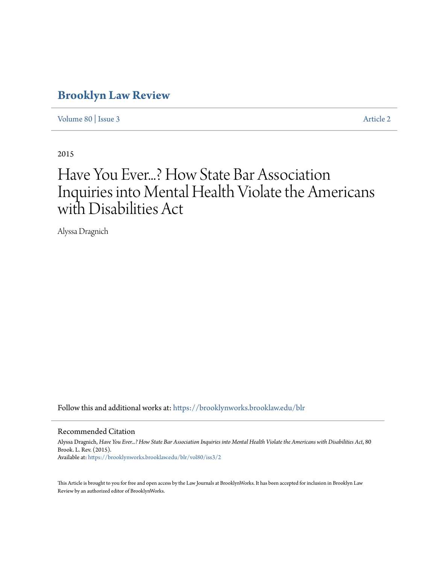## **[Brooklyn Law Review](https://brooklynworks.brooklaw.edu/blr?utm_source=brooklynworks.brooklaw.edu%2Fblr%2Fvol80%2Fiss3%2F2&utm_medium=PDF&utm_campaign=PDFCoverPages)**

[Volume 80](https://brooklynworks.brooklaw.edu/blr/vol80?utm_source=brooklynworks.brooklaw.edu%2Fblr%2Fvol80%2Fiss3%2F2&utm_medium=PDF&utm_campaign=PDFCoverPages) | [Issue 3](https://brooklynworks.brooklaw.edu/blr/vol80/iss3?utm_source=brooklynworks.brooklaw.edu%2Fblr%2Fvol80%2Fiss3%2F2&utm_medium=PDF&utm_campaign=PDFCoverPages) [Article 2](https://brooklynworks.brooklaw.edu/blr/vol80/iss3/2?utm_source=brooklynworks.brooklaw.edu%2Fblr%2Fvol80%2Fiss3%2F2&utm_medium=PDF&utm_campaign=PDFCoverPages)

2015

# Have You Ever...? How State Bar Association Inquiries into Mental Health Violate the Americans with Disabilities Act

Alyssa Dragnich

Follow this and additional works at: [https://brooklynworks.brooklaw.edu/blr](https://brooklynworks.brooklaw.edu/blr?utm_source=brooklynworks.brooklaw.edu%2Fblr%2Fvol80%2Fiss3%2F2&utm_medium=PDF&utm_campaign=PDFCoverPages)

#### Recommended Citation

Alyssa Dragnich, *Have You Ever...? How State Bar Association Inquiries into Mental Health Violate the Americans with Disabilities Act*, 80 Brook. L. Rev. (2015). Available at: [https://brooklynworks.brooklaw.edu/blr/vol80/iss3/2](https://brooklynworks.brooklaw.edu/blr/vol80/iss3/2?utm_source=brooklynworks.brooklaw.edu%2Fblr%2Fvol80%2Fiss3%2F2&utm_medium=PDF&utm_campaign=PDFCoverPages)

This Article is brought to you for free and open access by the Law Journals at BrooklynWorks. It has been accepted for inclusion in Brooklyn Law Review by an authorized editor of BrooklynWorks.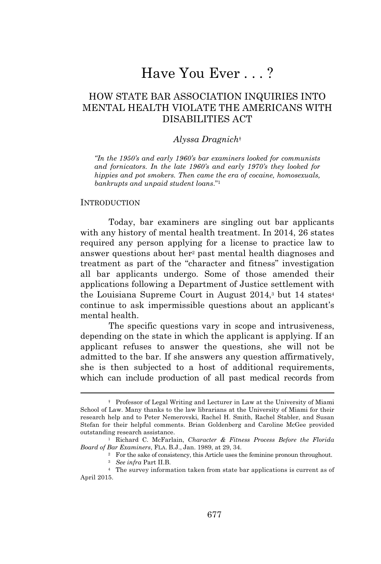## Have You Ever . . . ?

## HOW STATE BAR ASSOCIATION INQUIRIES INTO MENTAL HEALTH VIOLATE THE AMERICANS WITH DISABILITIES ACT

#### *Alyssa Dragnich*†

*"In the 1950's and early 1960's bar examiners looked for communists and fornicators. In the late 1960's and early 1970's they looked for hippies and pot smokers. Then came the era of cocaine, homosexuals, bankrupts and unpaid student loans*." 1

#### INTRODUCTION

Today, bar examiners are singling out bar applicants with any history of mental health treatment. In 2014, 26 states required any person applying for a license to practice law to answer questions about her<sup>2</sup> past mental health diagnoses and treatment as part of the "character and fitness" investigation all bar applicants undergo. Some of those amended their applications following a Department of Justice settlement with the Louisiana Supreme Court in August 2014,<sup>3</sup> but 14 states<sup>4</sup> continue to ask impermissible questions about an applicant's mental health.

The specific questions vary in scope and intrusiveness, depending on the state in which the applicant is applying. If an applicant refuses to answer the questions, she will not be admitted to the bar. If she answers any question affirmatively, she is then subjected to a host of additional requirements, which can include production of all past medical records from

<sup>2</sup> For the sake of consistency, this Article uses the feminine pronoun throughout.

<sup>†</sup> Professor of Legal Writing and Lecturer in Law at the University of Miami School of Law. Many thanks to the law librarians at the University of Miami for their research help and to Peter Nemerovski, Rachel H. Smith, Rachel Stabler, and Susan Stefan for their helpful comments. Brian Goldenberg and Caroline McGee provided outstanding research assistance.

<sup>1</sup> Richard C. McFarlain, *Character & Fitness Process Before the Florida Board of Bar Examiners*, FLA. B.J., Jan. 1989, at 29, 34.

<sup>3</sup> *See infra* Part II.B.

<sup>4</sup> The survey information taken from state bar applications is current as of April 2015.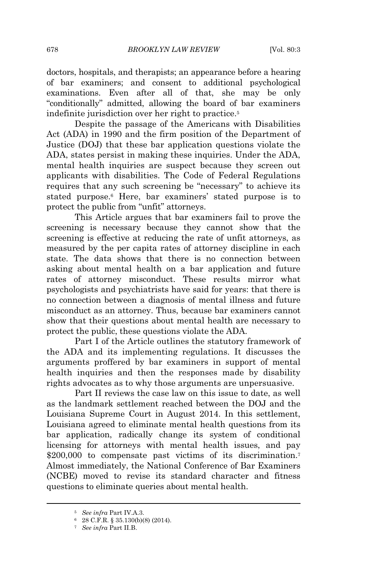doctors, hospitals, and therapists; an appearance before a hearing of bar examiners; and consent to additional psychological examinations. Even after all of that, she may be only "conditionally" admitted, allowing the board of bar examiners indefinite jurisdiction over her right to practice.<sup>5</sup>

Despite the passage of the Americans with Disabilities Act (ADA) in 1990 and the firm position of the Department of Justice (DOJ) that these bar application questions violate the ADA, states persist in making these inquiries. Under the ADA, mental health inquiries are suspect because they screen out applicants with disabilities. The Code of Federal Regulations requires that any such screening be "necessary" to achieve its stated purpose.<sup>6</sup> Here, bar examiners' stated purpose is to protect the public from "unfit" attorneys.

This Article argues that bar examiners fail to prove the screening is necessary because they cannot show that the screening is effective at reducing the rate of unfit attorneys, as measured by the per capita rates of attorney discipline in each state. The data shows that there is no connection between asking about mental health on a bar application and future rates of attorney misconduct. These results mirror what psychologists and psychiatrists have said for years: that there is no connection between a diagnosis of mental illness and future misconduct as an attorney. Thus, because bar examiners cannot show that their questions about mental health are necessary to protect the public, these questions violate the ADA.

Part I of the Article outlines the statutory framework of the ADA and its implementing regulations. It discusses the arguments proffered by bar examiners in support of mental health inquiries and then the responses made by disability rights advocates as to why those arguments are unpersuasive.

Part II reviews the case law on this issue to date, as well as the landmark settlement reached between the DOJ and the Louisiana Supreme Court in August 2014. In this settlement, Louisiana agreed to eliminate mental health questions from its bar application, radically change its system of conditional licensing for attorneys with mental health issues, and pay \$200,000 to compensate past victims of its discrimination.<sup>7</sup> Almost immediately, the National Conference of Bar Examiners (NCBE) moved to revise its standard character and fitness questions to eliminate queries about mental health.

<sup>5</sup> *See infra* Part IV.A.3.

<sup>6</sup> 28 C.F.R. § 35.130(b)(8) (2014).

<sup>7</sup> *See infra* Part II.B.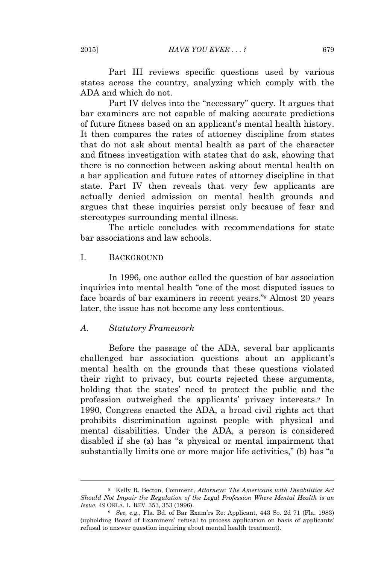Part III reviews specific questions used by various states across the country, analyzing which comply with the ADA and which do not.

Part IV delves into the "necessary" query. It argues that bar examiners are not capable of making accurate predictions of future fitness based on an applicant's mental health history. It then compares the rates of attorney discipline from states that do not ask about mental health as part of the character and fitness investigation with states that do ask, showing that there is no connection between asking about mental health on a bar application and future rates of attorney discipline in that state. Part IV then reveals that very few applicants are actually denied admission on mental health grounds and argues that these inquiries persist only because of fear and stereotypes surrounding mental illness.

The article concludes with recommendations for state bar associations and law schools.

## I. BACKGROUND

In 1996, one author called the question of bar association inquiries into mental health "one of the most disputed issues to face boards of bar examiners in recent years." <sup>8</sup> Almost 20 years later, the issue has not become any less contentious.

## *A. Statutory Framework*

Before the passage of the ADA, several bar applicants challenged bar association questions about an applicant's mental health on the grounds that these questions violated their right to privacy, but courts rejected these arguments, holding that the states' need to protect the public and the profession outweighed the applicants' privacy interests.<sup>9</sup> In 1990, Congress enacted the ADA, a broad civil rights act that prohibits discrimination against people with physical and mental disabilities. Under the ADA, a person is considered disabled if she (a) has "a physical or mental impairment that substantially limits one or more major life activities," (b) has "a

<sup>8</sup> Kelly R. Becton, Comment, *Attorneys: The Americans with Disabilities Act Should Not Impair the Regulation of the Legal Profession Where Mental Health is an Issue*, 49 OKLA. L. REV. 353, 353 (1996).

<sup>9</sup> *See, e.g.*, Fla. Bd. of Bar Exam'rs Re: Applicant, 443 So. 2d 71 (Fla. 1983) (upholding Board of Examiners' refusal to process application on basis of applicants' refusal to answer question inquiring about mental health treatment).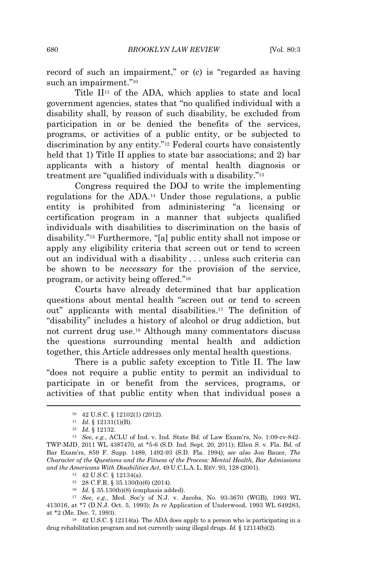record of such an impairment," or (c) is "regarded as having such an impairment."<sup>10</sup>

Title  $\mathbf{II}^{11}$  of the ADA, which applies to state and local government agencies, states that "no qualified individual with a disability shall, by reason of such disability, be excluded from participation in or be denied the benefits of the services, programs, or activities of a public entity, or be subjected to discrimination by any entity." <sup>12</sup> Federal courts have consistently held that 1) Title II applies to state bar associations; and 2) bar applicants with a history of mental health diagnosis or treatment are "qualified individuals with a disability." 13

Congress required the DOJ to write the implementing regulations for the ADA.<sup>14</sup> Under those regulations, a public entity is prohibited from administering "a licensing or certification program in a manner that subjects qualified individuals with disabilities to discrimination on the basis of disability." <sup>15</sup> Furthermore, "[a] public entity shall not impose or apply any eligibility criteria that screen out or tend to screen out an individual with a disability . . . unless such criteria can be shown to be *necessary* for the provision of the service, program, or activity being offered." 16

Courts have already determined that bar application questions about mental health "screen out or tend to screen out" applicants with mental disabilities.<sup>17</sup> The definition of "disability" includes a history of alcohol or drug addiction, but not current drug use.<sup>18</sup> Although many commentators discuss the questions surrounding mental health and addiction together, this Article addresses only mental health questions.

There is a public safety exception to Title II. The law "does not require a public entity to permit an individual to participate in or benefit from the services, programs, or activities of that public entity when that individual poses a

<sup>10</sup> 42 U.S.C. § 12102(1) (2012).

<sup>11</sup> *Id.* § 12131(1)(B).

<sup>12</sup> *Id.* § 12132.

<sup>13</sup> *See, e.g.*, ACLU of Ind. v. Ind. State Bd. of Law Exam'rs, No. 1:09-cv-842- TWP-MJD, 2011 WL 4387470, at \*5-6 (S.D. Ind. Sept. 20, 2011); Ellen S. v. Fla. Bd. of Bar Exam'rs, 859 F. Supp. 1489, 1492-93 (S.D. Fla. 1994); *see also* Jon Bauer, *The Character of the Questions and the Fitness of the Process: Mental Health, Bar Admissions and the Americans With Disabilities Act*, 49 U.C.L.A. L. REV. 93, 128 (2001).

<sup>14</sup> 42 U.S.C. § 12134(a).

<sup>15</sup> 28 C.F.R. § 35.130(b)(6) (2014).

<sup>16</sup> *Id.* § 35.130(b)(8) (emphasis added).

<sup>17</sup> *See, e.g.*, Med. Soc'y of N.J. v. Jacobs, No. 93-3670 (WGB), 1993 WL 413016, at \*7 (D.N.J. Oct. 5, 1993); *In re* Application of Underwood, 1993 WL 649283, at \*2 (Me. Dec. 7, 1993).

<sup>18</sup> 42 U.S.C. § 12114(a). The ADA does apply to a person who is participating in a drug rehabilitation program and not currently using illegal drugs. *Id.* § 12114(b)(2).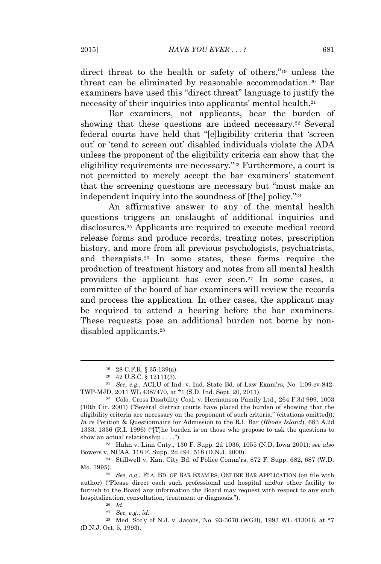direct threat to the health or safety of others," <sup>19</sup> unless the threat can be eliminated by reasonable accommodation.<sup>20</sup> Bar examiners have used this "direct threat" language to justify the necessity of their inquiries into applicants' mental health.<sup>21</sup>

Bar examiners, not applicants, bear the burden of showing that these questions are indeed necessary.<sup>22</sup> Several federal courts have held that "[e]ligibility criteria that 'screen out' or 'tend to screen out' disabled individuals violate the ADA unless the proponent of the eligibility criteria can show that the eligibility requirements are necessary."<sup>23</sup> Furthermore, a court is not permitted to merely accept the bar examiners' statement that the screening questions are necessary but "must make an independent inquiry into the soundness of [the] policy." 24

An affirmative answer to any of the mental health questions triggers an onslaught of additional inquiries and disclosures.<sup>25</sup> Applicants are required to execute medical record release forms and produce records, treating notes, prescription history, and more from all previous psychologists, psychiatrists, and therapists.<sup>26</sup> In some states, these forms require the production of treatment history and notes from all mental health providers the applicant has ever seen.<sup>27</sup> In some cases, a committee of the board of bar examiners will review the records and process the application. In other cases, the applicant may be required to attend a hearing before the bar examiners. These requests pose an additional burden not borne by nondisabled applicants.<sup>28</sup>

<sup>23</sup> Hahn v. Linn Cnty., 130 F. Supp. 2d 1036, 1055 (N.D. Iowa 2001); *see also* Bowers v. NCAA, 118 F. Supp. 2d 494, 518 (D.N.J. 2000).

<sup>24</sup> Stillwell v. Kan. City Bd. of Police Comm'rs, 872 F. Supp. 682, 687 (W.D. Mo. 1995).

<sup>28</sup> Med. Soc'y of N.J. v. Jacobs, No. 93-3670 (WGB), 1993 WL 413016, at \*7 (D.N.J. Oct. 5, 1993).

<sup>19</sup> 28 C.F.R. § 35.139(a).

<sup>20</sup> 42 U.S.C. § 12111(3).

<sup>21</sup> *See, e.g.*, ACLU of Ind. v. Ind. State Bd. of Law Exam'rs, No. 1:09-cv-842- TWP-MJD, 2011 WL 4387470, at \*1 (S.D. Ind. Sept. 20, 2011).

<sup>22</sup> Colo. Cross Disability Coal. v. Hermanson Family Ltd., 264 F.3d 999, 1003 (10th Cir. 2001) ("Several district courts have placed the burden of showing that the eligibility criteria are necessary on the proponent of such criteria." (citations omitted)); *In re* Petition & Questionnaire for Admission to the R.I. Bar (*Rhode Island*), 683 A.2d 1333, 1336 (R.I. 1996) ("[T]he burden is on those who propose to ask the questions to show an actual relationship . . . .").

<sup>25</sup> *See, e.g.*, FLA. BD. OF BAR EXAM'RS, ONLINE BAR APPLICATION (on file with author) ("Please direct each such professional and hospital and/or other facility to furnish to the Board any information the Board may request with respect to any such hospitalization, consultation, treatment or diagnosis.").

<sup>26</sup> *Id.*

<sup>27</sup> *See, e.g.*, *id.*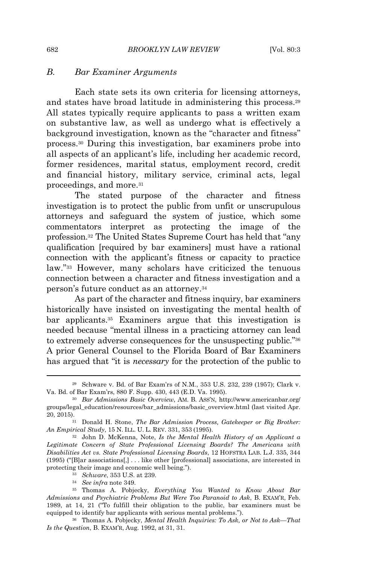## *B. Bar Examiner Arguments*

Each state sets its own criteria for licensing attorneys, and states have broad latitude in administering this process.<sup>29</sup> All states typically require applicants to pass a written exam on substantive law, as well as undergo what is effectively a background investigation, known as the "character and fitness" process.<sup>30</sup> During this investigation, bar examiners probe into all aspects of an applicant's life, including her academic record, former residences, marital status, employment record, credit and financial history, military service, criminal acts, legal proceedings, and more.<sup>31</sup>

The stated purpose of the character and fitness investigation is to protect the public from unfit or unscrupulous attorneys and safeguard the system of justice, which some commentators interpret as protecting the image of the profession.<sup>32</sup> The United States Supreme Court has held that "any qualification [required by bar examiners] must have a rational connection with the applicant's fitness or capacity to practice law." <sup>33</sup> However, many scholars have criticized the tenuous connection between a character and fitness investigation and a person's future conduct as an attorney.<sup>34</sup>

As part of the character and fitness inquiry, bar examiners historically have insisted on investigating the mental health of bar applicants.<sup>35</sup> Examiners argue that this investigation is needed because "mental illness in a practicing attorney can lead to extremely adverse consequences for the unsuspecting public."36 A prior General Counsel to the Florida Board of Bar Examiners has argued that "it is *necessary* for the protection of the public to

<sup>34</sup> *See infra* note 349.

<sup>29</sup> Schware v. Bd. of Bar Exam'rs of N.M., 353 U.S. 232, 239 (1957); Clark v. Va. Bd. of Bar Exam'rs, 880 F. Supp. 430, 443 (E.D. Va. 1995).

<sup>30</sup> *Bar Admissions Basic Overview*, AM. B. ASS'N, http://www.americanbar.org/ groups/legal\_education/resources/bar\_admissions/basic\_overview.html (last visited Apr. 20, 2015).

<sup>31</sup> Donald H. Stone, *The Bar Admission Process, Gatekeeper or Big Brother: An Empirical Study*, 15 N. ILL. U. L. REV. 331, 353 (1995).

<sup>32</sup> John D. McKenna, Note, *Is the Mental Health History of an Applicant a Legitimate Concern of State Professional Licensing Boards? The Americans with Disabilities Act vs. State Professional Licensing Boards*, 12 HOFSTRA LAB. L.J. 335, 344 (1995) ("[B]ar associations[,] . . . like other [professional] associations, are interested in protecting their image and economic well being.").

<sup>33</sup> *Schware*, 353 U.S. at 239.

<sup>35</sup> Thomas A. Pobjecky, *Everything You Wanted to Know About Bar Admissions and Psychiatric Problems But Were Too Paranoid to Ask*, B. EXAM'R, Feb. 1989, at 14, 21 ("To fulfill their obligation to the public, bar examiners must be equipped to identify bar applicants with serious mental problems.").

<sup>36</sup> Thomas A. Pobjecky, *Mental Health Inquiries: To Ask, or Not to Ask—That Is the Question*, B. EXAM'R, Aug. 1992, at 31, 31.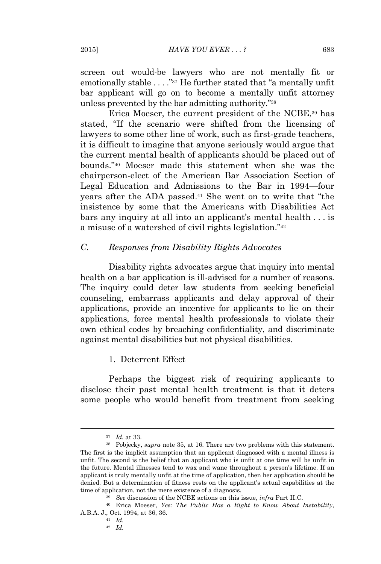screen out would-be lawyers who are not mentally fit or emotionally stable . . . . "<sup>37</sup> He further stated that "a mentally unfit bar applicant will go on to become a mentally unfit attorney unless prevented by the bar admitting authority."<sup>38</sup>

Erica Moeser, the current president of the NCBE,<sup>39</sup> has stated, "If the scenario were shifted from the licensing of lawyers to some other line of work, such as first-grade teachers, it is difficult to imagine that anyone seriously would argue that the current mental health of applicants should be placed out of bounds." <sup>40</sup> Moeser made this statement when she was the chairperson-elect of the American Bar Association Section of Legal Education and Admissions to the Bar in 1994—four years after the ADA passed.<sup>41</sup> She went on to write that "the insistence by some that the Americans with Disabilities Act bars any inquiry at all into an applicant's mental health . . . is a misuse of a watershed of civil rights legislation."<sup>42</sup>

## *C. Responses from Disability Rights Advocates*

Disability rights advocates argue that inquiry into mental health on a bar application is ill-advised for a number of reasons. The inquiry could deter law students from seeking beneficial counseling, embarrass applicants and delay approval of their applications, provide an incentive for applicants to lie on their applications, force mental health professionals to violate their own ethical codes by breaching confidentiality, and discriminate against mental disabilities but not physical disabilities.

## 1. Deterrent Effect

Perhaps the biggest risk of requiring applicants to disclose their past mental health treatment is that it deters some people who would benefit from treatment from seeking

<sup>37</sup> *Id.* at 33.

<sup>38</sup> Pobjecky, *supra* note 35, at 16. There are two problems with this statement. The first is the implicit assumption that an applicant diagnosed with a mental illness is unfit. The second is the belief that an applicant who is unfit at one time will be unfit in the future. Mental illnesses tend to wax and wane throughout a person's lifetime. If an applicant is truly mentally unfit at the time of application, then her application should be denied. But a determination of fitness rests on the applicant's actual capabilities at the time of application, not the mere existence of a diagnosis.

<sup>39</sup> *See* discussion of the NCBE actions on this issue, *infra* Part II.C.

<sup>40</sup> Erica Moeser, *Yes: The Public Has a Right to Know About Instability*, A.B.A. J., Oct. 1994, at 36, 36.

<sup>41</sup> *Id.*

<sup>42</sup> *Id.*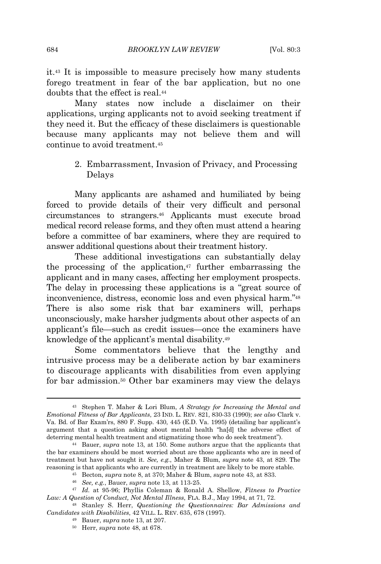it.<sup>43</sup> It is impossible to measure precisely how many students forego treatment in fear of the bar application, but no one doubts that the effect is real.<sup>44</sup>

Many states now include a disclaimer on their applications, urging applicants not to avoid seeking treatment if they need it. But the efficacy of these disclaimers is questionable because many applicants may not believe them and will continue to avoid treatment.<sup>45</sup>

## 2. Embarrassment, Invasion of Privacy, and Processing Delays

Many applicants are ashamed and humiliated by being forced to provide details of their very difficult and personal circumstances to strangers.<sup>46</sup> Applicants must execute broad medical record release forms, and they often must attend a hearing before a committee of bar examiners, where they are required to answer additional questions about their treatment history.

These additional investigations can substantially delay the processing of the application, $47$  further embarrassing the applicant and in many cases, affecting her employment prospects. The delay in processing these applications is a "great source of inconvenience, distress, economic loss and even physical harm."<sup>48</sup> There is also some risk that bar examiners will, perhaps unconsciously, make harsher judgments about other aspects of an applicant's file—such as credit issues—once the examiners have knowledge of the applicant's mental disability.<sup>49</sup>

Some commentators believe that the lengthy and intrusive process may be a deliberate action by bar examiners to discourage applicants with disabilities from even applying for bar admission.<sup>50</sup> Other bar examiners may view the delays

<sup>43</sup> Stephen T. Maher & Lori Blum, *A Strategy for Increasing the Mental and Emotional Fitness of Bar Applicants*, 23 IND. L. REV. 821, 830-33 (1990); *see also* Clark v. Va. Bd. of Bar Exam'rs, 880 F. Supp. 430, 445 (E.D. Va. 1995) (detailing bar applicant's argument that a question asking about mental health "ha[d] the adverse effect of deterring mental health treatment and stigmatizing those who do seek treatment").

<sup>44</sup> Bauer, *supra* note 13, at 150. Some authors argue that the applicants that the bar examiners should be most worried about are those applicants who are in need of treatment but have not sought it. *See, e.g.*, Maher & Blum, *supra* note 43, at 829. The reasoning is that applicants who are currently in treatment are likely to be more stable.

<sup>45</sup> Becton, *supra* note 8, at 370; Maher & Blum, *supra* note 43, at 833.

<sup>46</sup> *See, e.g.*, Bauer, *supra* note 13, at 113-25.

<sup>47</sup> *Id.* at 95-96; Phyllis Coleman & Ronald A. Shellow, *Fitness to Practice Law: A Question of Conduct, Not Mental Illness*, FLA. B.J., May 1994, at 71, 72.

<sup>48</sup> Stanley S. Herr, *Questioning the Questionnaires: Bar Admissions and Candidates with Disabilities*, 42 VILL. L. REV. 635, 678 (1997).

<sup>49</sup> Bauer, *supra* note 13, at 207.

<sup>50</sup> Herr, *supra* note 48, at 678.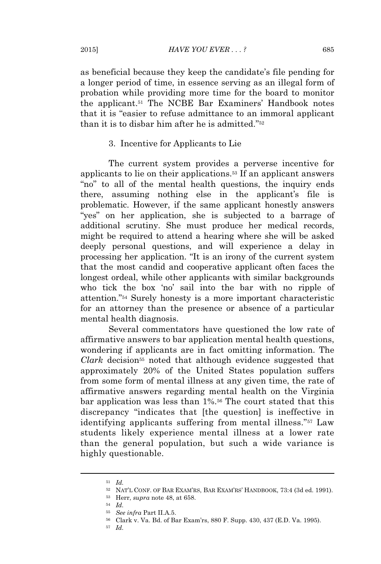as beneficial because they keep the candidate's file pending for a longer period of time, in essence serving as an illegal form of probation while providing more time for the board to monitor the applicant.<sup>51</sup> The NCBE Bar Examiners' Handbook notes that it is "easier to refuse admittance to an immoral applicant than it is to disbar him after he is admitted." 52

#### 3. Incentive for Applicants to Lie

The current system provides a perverse incentive for applicants to lie on their applications.<sup>53</sup> If an applicant answers "no" to all of the mental health questions, the inquiry ends there, assuming nothing else in the applicant's file is problematic. However, if the same applicant honestly answers "yes" on her application, she is subjected to a barrage of additional scrutiny. She must produce her medical records, might be required to attend a hearing where she will be asked deeply personal questions, and will experience a delay in processing her application. "It is an irony of the current system that the most candid and cooperative applicant often faces the longest ordeal, while other applicants with similar backgrounds who tick the box 'no' sail into the bar with no ripple of attention." <sup>54</sup> Surely honesty is a more important characteristic for an attorney than the presence or absence of a particular mental health diagnosis.

Several commentators have questioned the low rate of affirmative answers to bar application mental health questions, wondering if applicants are in fact omitting information. The *Clark* decision<sup>55</sup> noted that although evidence suggested that approximately 20% of the United States population suffers from some form of mental illness at any given time, the rate of affirmative answers regarding mental health on the Virginia bar application was less than 1%.<sup>56</sup> The court stated that this discrepancy "indicates that [the question] is ineffective in identifying applicants suffering from mental illness."<sup>57</sup> Law students likely experience mental illness at a lower rate than the general population, but such a wide variance is highly questionable.

<sup>51</sup> *Id.*

<sup>52</sup> NAT'<sup>L</sup> CONF. OF BAR EXAM'RS, BAR EXAM'RS' HANDBOOK, 73:4 (3d ed. 1991).

<sup>53</sup> Herr, *supra* note 48, at 658.

<sup>54</sup> *Id.*

<sup>55</sup> *See infra* Part II.A.5.

<sup>56</sup> Clark v. Va. Bd. of Bar Exam'rs, 880 F. Supp. 430, 437 (E.D. Va. 1995).

<sup>57</sup> *Id.*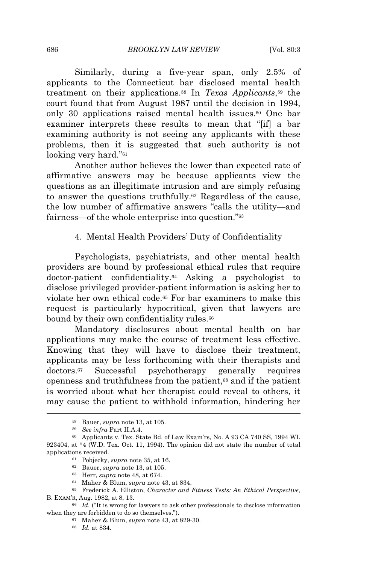Similarly, during a five-year span, only 2.5% of applicants to the Connecticut bar disclosed mental health treatment on their applications.<sup>58</sup> In *Texas Applicants*, <sup>59</sup> the court found that from August 1987 until the decision in 1994, only 30 applications raised mental health issues.<sup>60</sup> One bar examiner interprets these results to mean that "[if] a bar examining authority is not seeing any applicants with these problems, then it is suggested that such authority is not looking very hard."<sup>61</sup>

Another author believes the lower than expected rate of affirmative answers may be because applicants view the questions as an illegitimate intrusion and are simply refusing to answer the questions truthfully.<sup>62</sup> Regardless of the cause, the low number of affirmative answers "calls the utility—and fairness—of the whole enterprise into question."<sup>63</sup>

## 4. Mental Health Providers' Duty of Confidentiality

Psychologists, psychiatrists, and other mental health providers are bound by professional ethical rules that require doctor-patient confidentiality.<sup>64</sup> Asking a psychologist to disclose privileged provider-patient information is asking her to violate her own ethical code.<sup>65</sup> For bar examiners to make this request is particularly hypocritical, given that lawyers are bound by their own confidentiality rules.<sup>66</sup>

Mandatory disclosures about mental health on bar applications may make the course of treatment less effective. Knowing that they will have to disclose their treatment, applicants may be less forthcoming with their therapists and doctors.<sup>67</sup> Successful psychotherapy generally requires openness and truthfulness from the patient,<sup>68</sup> and if the patient is worried about what her therapist could reveal to others, it may cause the patient to withhold information, hindering her

<sup>58</sup> Bauer, *supra* note 13, at 105.

<sup>59</sup> *See infra* Part II.A.4.

<sup>60</sup> Applicants v. Tex. State Bd. of Law Exam'rs, No. A 93 CA 740 SS, 1994 WL 923404, at \*4 (W.D. Tex. Oct. 11, 1994). The opinion did not state the number of total applications received.

<sup>61</sup> Pobjecky, *supra* note 35, at 16.

<sup>62</sup> Bauer, *supra* note 13, at 105.

<sup>63</sup> Herr, *supra* note 48, at 674.

<sup>64</sup> Maher & Blum, *supra* note 43, at 834.

<sup>65</sup> Frederick A. Elliston, *Character and Fitness Tests: An Ethical Perspective*, B. EXAM'R, Aug. 1982, at 8, 13.

<sup>66</sup> *Id.* ("It is wrong for lawyers to ask other professionals to disclose information when they are forbidden to do so themselves.").

<sup>67</sup> Maher & Blum, *supra* note 43, at 829-30.

<sup>68</sup> *Id.* at 834.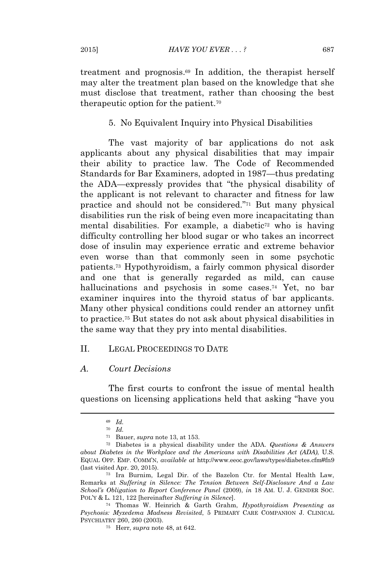treatment and prognosis.<sup>69</sup> In addition, the therapist herself may alter the treatment plan based on the knowledge that she must disclose that treatment, rather than choosing the best therapeutic option for the patient.<sup>70</sup>

## 5. No Equivalent Inquiry into Physical Disabilities

The vast majority of bar applications do not ask applicants about any physical disabilities that may impair their ability to practice law. The Code of Recommended Standards for Bar Examiners, adopted in 1987—thus predating the ADA—expressly provides that "the physical disability of the applicant is not relevant to character and fitness for law practice and should not be considered." <sup>71</sup> But many physical disabilities run the risk of being even more incapacitating than mental disabilities. For example, a diabetic<sup>72</sup> who is having difficulty controlling her blood sugar or who takes an incorrect dose of insulin may experience erratic and extreme behavior even worse than that commonly seen in some psychotic patients.<sup>73</sup> Hypothyroidism, a fairly common physical disorder and one that is generally regarded as mild, can cause hallucinations and psychosis in some cases.<sup>74</sup> Yet, no bar examiner inquires into the thyroid status of bar applicants. Many other physical conditions could render an attorney unfit to practice.<sup>75</sup> But states do not ask about physical disabilities in the same way that they pry into mental disabilities.

#### II. LEGAL PROCEEDINGS TO DATE

#### *A. Court Decisions*

The first courts to confront the issue of mental health questions on licensing applications held that asking "have you

<sup>69</sup> *Id.*

<sup>70</sup> *Id.*

<sup>71</sup> Bauer, *supra* note 13, at 153.

<sup>72</sup> Diabetes is a physical disability under the ADA. *Questions & Answers about Diabetes in the Workplace and the Americans with Disabilities Act (ADA)*, U.S. EQUAL OPP. EMP. COMM'N, *available at* http://www.eeoc.gov/laws/types/diabetes.cfm#fn9 (last visited Apr. 20, 2015).

<sup>73</sup> Ira Burnim, Legal Dir. of the Bazelon Ctr. for Mental Health Law, Remarks at *Suffering in Silence: The Tension Between Self-Disclosure And a Law School's Obligation to Report Conference Panel* (2009), *in* 18 AM. U. J. GENDER SOC. POL'<sup>Y</sup> & L. 121, 122 [hereinafter *Suffering in Silence*].

<sup>74</sup> Thomas W. Heinrich & Garth Grahm, *Hypothyroidism Presenting as Psychosis: Myxedema Madness Revisited*, 5 PRIMARY CARE COMPANION J. CLINICAL PSYCHIATRY 260, 260 (2003).

<sup>75</sup> Herr, *supra* note 48, at 642.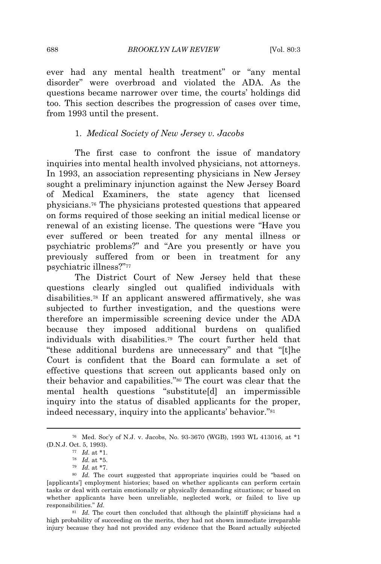ever had any mental health treatment" or "any mental disorder" were overbroad and violated the ADA. As the questions became narrower over time, the courts' holdings did too. This section describes the progression of cases over time, from 1993 until the present.

## 1. *Medical Society of New Jersey v. Jacobs*

The first case to confront the issue of mandatory inquiries into mental health involved physicians, not attorneys. In 1993, an association representing physicians in New Jersey sought a preliminary injunction against the New Jersey Board of Medical Examiners, the state agency that licensed physicians.<sup>76</sup> The physicians protested questions that appeared on forms required of those seeking an initial medical license or renewal of an existing license. The questions were "Have you ever suffered or been treated for any mental illness or psychiatric problems?" and "Are you presently or have you previously suffered from or been in treatment for any psychiatric illness?" 77

The District Court of New Jersey held that these questions clearly singled out qualified individuals with disabilities.<sup>78</sup> If an applicant answered affirmatively, she was subjected to further investigation, and the questions were therefore an impermissible screening device under the ADA because they imposed additional burdens on qualified individuals with disabilities.<sup>79</sup> The court further held that "these additional burdens are unnecessary" and that "[t]he Court is confident that the Board can formulate a set of effective questions that screen out applicants based only on their behavior and capabilities." <sup>80</sup> The court was clear that the mental health questions "substitute[d] an impermissible inquiry into the status of disabled applicants for the proper, indeed necessary, inquiry into the applicants' behavior." 81

<sup>81</sup> *Id.* The court then concluded that although the plaintiff physicians had a high probability of succeeding on the merits, they had not shown immediate irreparable injury because they had not provided any evidence that the Board actually subjected

<sup>76</sup> Med. Soc'y of N.J. v. Jacobs, No. 93-3670 (WGB), 1993 WL 413016, at \*1 (D.N.J. Oct. 5, 1993).

<sup>77</sup> *Id.* at \*1.

<sup>78</sup> *Id.* at \*5.

<sup>79</sup> *Id.* at \*7.

<sup>80</sup> *Id.* The court suggested that appropriate inquiries could be "based on [applicants'] employment histories; based on whether applicants can perform certain tasks or deal with certain emotionally or physically demanding situations; or based on whether applicants have been unreliable, neglected work, or failed to live up responsibilities." *Id.*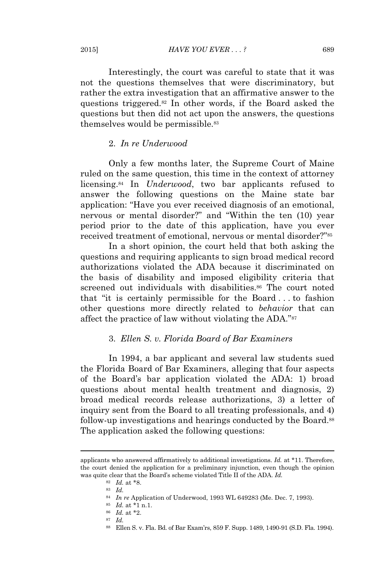2015] *HAVE YOU EVER . . . ?* 689

Interestingly, the court was careful to state that it was not the questions themselves that were discriminatory, but rather the extra investigation that an affirmative answer to the questions triggered.<sup>82</sup> In other words, if the Board asked the questions but then did not act upon the answers, the questions themselves would be permissible.<sup>83</sup>

## 2. *In re Underwood*

Only a few months later, the Supreme Court of Maine ruled on the same question, this time in the context of attorney licensing.<sup>84</sup> In *Underwood*, two bar applicants refused to answer the following questions on the Maine state bar application: "Have you ever received diagnosis of an emotional, nervous or mental disorder?" and "Within the ten (10) year period prior to the date of this application, have you ever received treatment of emotional, nervous or mental disorder?" 85

In a short opinion, the court held that both asking the questions and requiring applicants to sign broad medical record authorizations violated the ADA because it discriminated on the basis of disability and imposed eligibility criteria that screened out individuals with disabilities.<sup>86</sup> The court noted that "it is certainly permissible for the Board . . . to fashion other questions more directly related to *behavior* that can affect the practice of law without violating the ADA."87

## 3. *Ellen S. v. Florida Board of Bar Examiners*

In 1994, a bar applicant and several law students sued the Florida Board of Bar Examiners, alleging that four aspects of the Board's bar application violated the ADA: 1) broad questions about mental health treatment and diagnosis, 2) broad medical records release authorizations, 3) a letter of inquiry sent from the Board to all treating professionals, and 4) follow-up investigations and hearings conducted by the Board.<sup>88</sup> The application asked the following questions:

applicants who answered affirmatively to additional investigations. *Id.* at \*11. Therefore, the court denied the application for a preliminary injunction, even though the opinion was quite clear that the Board's scheme violated Title II of the ADA. *Id.*

<sup>82</sup> *Id.* at \*8.

<sup>83</sup> *Id.*

<sup>84</sup> *In re* Application of Underwood, 1993 WL 649283 (Me. Dec. 7, 1993).

<sup>85</sup> *Id.* at \*1 n.1.

<sup>86</sup> *Id.* at \*2.

<sup>87</sup> *Id.*

<sup>88</sup> Ellen S. v. Fla. Bd. of Bar Exam'rs, 859 F. Supp. 1489, 1490-91 (S.D. Fla. 1994).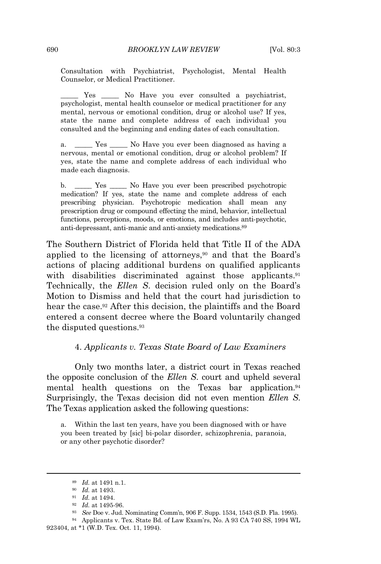Consultation with Psychiatrist, Psychologist, Mental Health Counselor, or Medical Practitioner.

Yes \_\_\_\_\_ No Have you ever consulted a psychiatrist, psychologist, mental health counselor or medical practitioner for any mental, nervous or emotional condition, drug or alcohol use? If yes, state the name and complete address of each individual you consulted and the beginning and ending dates of each consultation.

Yes No Have you ever been diagnosed as having a nervous, mental or emotional condition, drug or alcohol problem? If yes, state the name and complete address of each individual who made each diagnosis.

b. \_\_\_\_\_ Yes \_\_\_\_\_ No Have you ever been prescribed psychotropic medication? If yes, state the name and complete address of each prescribing physician. Psychotropic medication shall mean any prescription drug or compound effecting the mind, behavior, intellectual functions, perceptions, moods, or emotions, and includes anti-psychotic, anti-depressant, anti-manic and anti-anxiety medications.<sup>89</sup>

The Southern District of Florida held that Title II of the ADA applied to the licensing of attorneys,<sup>90</sup> and that the Board's actions of placing additional burdens on qualified applicants with disabilities discriminated against those applicants.<sup>91</sup> Technically, the *Ellen S*. decision ruled only on the Board's Motion to Dismiss and held that the court had jurisdiction to hear the case.<sup>92</sup> After this decision, the plaintiffs and the Board entered a consent decree where the Board voluntarily changed the disputed questions.<sup>93</sup>

## 4. *Applicants v. Texas State Board of Law Examiners*

Only two months later, a district court in Texas reached the opposite conclusion of the *Ellen S*. court and upheld several mental health questions on the Texas bar application.<sup>94</sup> Surprisingly, the Texas decision did not even mention *Ellen S*. The Texas application asked the following questions:

a. Within the last ten years, have you been diagnosed with or have you been treated by [sic] bi-polar disorder, schizophrenia, paranoia, or any other psychotic disorder?

<sup>89</sup> *Id.* at 1491 n.1.

<sup>90</sup> *Id.* at 1493.

<sup>91</sup> *Id.* at 1494.

<sup>92</sup> *Id.* at 1495-96.

<sup>93</sup> *See* Doe v. Jud. Nominating Comm'n, 906 F. Supp. 1534, 1543 (S.D. Fla. 1995).

<sup>94</sup> Applicants v. Tex. State Bd. of Law Exam'rs, No. A 93 CA 740 SS, 1994 WL 923404, at \*1 (W.D. Tex. Oct. 11, 1994).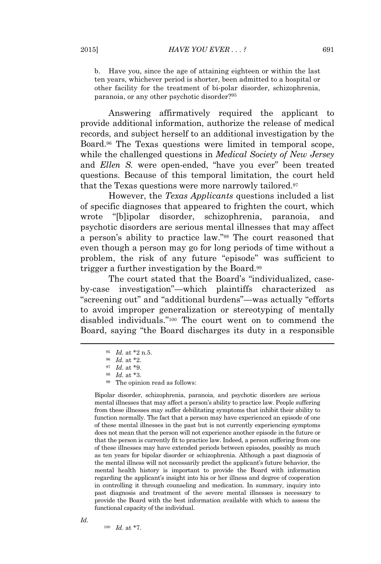b. Have you, since the age of attaining eighteen or within the last ten years, whichever period is shorter, been admitted to a hospital or other facility for the treatment of bi-polar disorder, schizophrenia, paranoia, or any other psychotic disorder?<sup>95</sup>

Answering affirmatively required the applicant to provide additional information, authorize the release of medical records, and subject herself to an additional investigation by the Board.<sup>96</sup> The Texas questions were limited in temporal scope, while the challenged questions in *Medical Society of New Jersey* and *Ellen S.* were open-ended, "have you ever" been treated questions. Because of this temporal limitation, the court held that the Texas questions were more narrowly tailored.<sup>97</sup>

However, the *Texas Applicants* questions included a list of specific diagnoses that appeared to frighten the court, which wrote "[b]ipolar disorder, schizophrenia, paranoia, and psychotic disorders are serious mental illnesses that may affect a person's ability to practice law." <sup>98</sup> The court reasoned that even though a person may go for long periods of time without a problem, the risk of any future "episode" was sufficient to trigger a further investigation by the Board.<sup>99</sup>

The court stated that the Board's "individualized, caseby-case investigation"—which plaintiffs characterized as "screening out" and "additional burdens"—was actually "efforts to avoid improper generalization or stereotyping of mentally disabled individuals." <sup>100</sup> The court went on to commend the Board, saying "the Board discharges its duty in a responsible

<sup>100</sup> *Id.* at \*7.

Bipolar disorder, schizophrenia, paranoia, and psychotic disorders are serious mental illnesses that may affect a person's ability to practice law. People suffering from these illnesses may suffer debilitating symptoms that inhibit their ability to function normally. The fact that a person may have experienced an episode of one of these mental illnesses in the past but is not currently experiencing symptoms does not mean that the person will not experience another episode in the future or that the person is currently fit to practice law. Indeed, a person suffering from one of these illnesses may have extended periods between episodes, possibly as much as ten years for bipolar disorder or schizophrenia. Although a past diagnosis of the mental illness will not necessarily predict the applicant's future behavior, the mental health history is important to provide the Board with information regarding the applicant's insight into his or her illness and degree of cooperation in controlling it through counseling and medication. In summary, inquiry into past diagnosis and treatment of the severe mental illnesses is necessary to provide the Board with the best information available with which to assess the functional capacity of the individual.

<sup>95</sup> *Id.* at \*2 n.5.

<sup>96</sup> *Id.* at \*2.

<sup>97</sup> *Id.* at \*9.

<sup>98</sup> *Id.* at \*3.

<sup>99</sup> The opinion read as follows: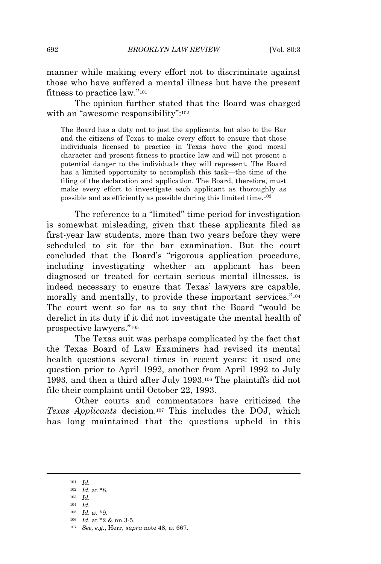manner while making every effort not to discriminate against those who have suffered a mental illness but have the present fitness to practice law."<sup>101</sup>

The opinion further stated that the Board was charged with an "awesome responsibility":<sup>102</sup>

The Board has a duty not to just the applicants, but also to the Bar and the citizens of Texas to make every effort to ensure that those individuals licensed to practice in Texas have the good moral character and present fitness to practice law and will not present a potential danger to the individuals they will represent. The Board has a limited opportunity to accomplish this task—the time of the filing of the declaration and application. The Board, therefore, must make every effort to investigate each applicant as thoroughly as possible and as efficiently as possible during this limited time.<sup>103</sup>

The reference to a "limited" time period for investigation is somewhat misleading, given that these applicants filed as first-year law students, more than two years before they were scheduled to sit for the bar examination. But the court concluded that the Board's "rigorous application procedure, including investigating whether an applicant has been diagnosed or treated for certain serious mental illnesses, is indeed necessary to ensure that Texas' lawyers are capable, morally and mentally, to provide these important services." 104 The court went so far as to say that the Board "would be derelict in its duty if it did not investigate the mental health of prospective lawyers." 105

The Texas suit was perhaps complicated by the fact that the Texas Board of Law Examiners had revised its mental health questions several times in recent years: it used one question prior to April 1992, another from April 1992 to July 1993, and then a third after July 1993.<sup>106</sup> The plaintiffs did not file their complaint until October 22, 1993.

Other courts and commentators have criticized the *Texas Applicants* decision.<sup>107</sup> This includes the DOJ, which has long maintained that the questions upheld in this

<sup>101</sup> *Id.*

<sup>102</sup> *Id.* at \*8.

<sup>103</sup> *Id.*

<sup>104</sup> *Id.*

<sup>105</sup> *Id.* at \*9.

<sup>106</sup> *Id.* at \*2 & nn.3-5.

<sup>107</sup> *See, e.g.*, Herr, *supra* note 48, at 667.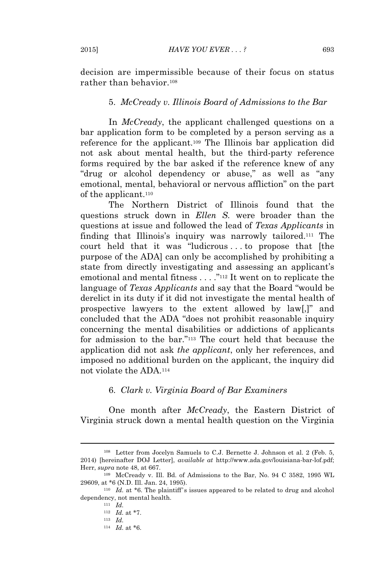decision are impermissible because of their focus on status rather than behavior.<sup>108</sup>

#### 5. *McCready v. Illinois Board of Admissions to the Bar*

In *McCready*, the applicant challenged questions on a bar application form to be completed by a person serving as a reference for the applicant.<sup>109</sup> The Illinois bar application did not ask about mental health, but the third-party reference forms required by the bar asked if the reference knew of any "drug or alcohol dependency or abuse," as well as "any emotional, mental, behavioral or nervous affliction" on the part of the applicant.<sup>110</sup>

The Northern District of Illinois found that the questions struck down in *Ellen S.* were broader than the questions at issue and followed the lead of *Texas Applicants* in finding that Illinois's inquiry was narrowly tailored.<sup>111</sup> The court held that it was "ludicrous . . . to propose that [the purpose of the ADA] can only be accomplished by prohibiting a state from directly investigating and assessing an applicant's emotional and mental fitness . . . ." <sup>112</sup> It went on to replicate the language of *Texas Applicants* and say that the Board "would be derelict in its duty if it did not investigate the mental health of prospective lawyers to the extent allowed by law[,]" and concluded that the ADA "does not prohibit reasonable inquiry concerning the mental disabilities or addictions of applicants for admission to the bar." <sup>113</sup> The court held that because the application did not ask *the applicant*, only her references, and imposed no additional burden on the applicant, the inquiry did not violate the ADA.<sup>114</sup>

## 6. *Clark v. Virginia Board of Bar Examiners*

One month after *McCready*, the Eastern District of Virginia struck down a mental health question on the Virginia

<sup>108</sup> Letter from Jocelyn Samuels to C.J. Bernette J. Johnson et al. 2 (Feb. 5, 2014) [hereinafter DOJ Letter], *available at* http://www.ada.gov/louisiana-bar-lof.pdf; Herr, *supra* note 48, at 667.

<sup>109</sup> McCready v. Ill. Bd. of Admissions to the Bar, No. 94 C 3582, 1995 WL 29609, at \*6 (N.D. Ill. Jan. 24, 1995).

<sup>&</sup>lt;sup>110</sup> *Id.* at \*6. The plaintiff's issues appeared to be related to drug and alcohol dependency, not mental health.

<sup>111</sup> *Id.*

<sup>112</sup> *Id.* at \*7. <sup>113</sup> *Id.*

<sup>114</sup> *Id.* at \*6.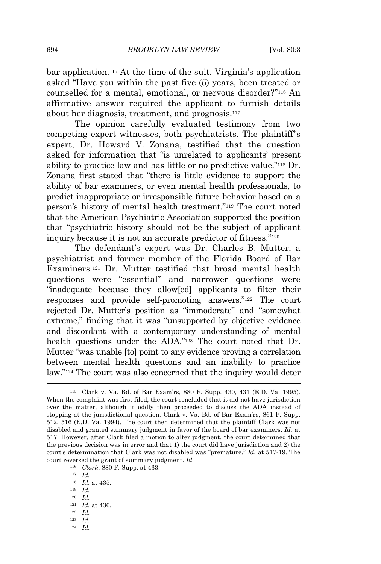bar application.<sup>115</sup> At the time of the suit, Virginia's application asked "Have you within the past five (5) years, been treated or counselled for a mental, emotional, or nervous disorder?" <sup>116</sup> An affirmative answer required the applicant to furnish details about her diagnosis, treatment, and prognosis.<sup>117</sup>

The opinion carefully evaluated testimony from two competing expert witnesses, both psychiatrists. The plaintiff's expert, Dr. Howard V. Zonana, testified that the question asked for information that "is unrelated to applicants' present ability to practice law and has little or no predictive value." <sup>118</sup> Dr. Zonana first stated that "there is little evidence to support the ability of bar examiners, or even mental health professionals, to predict inappropriate or irresponsible future behavior based on a person's history of mental health treatment." <sup>119</sup> The court noted that the American Psychiatric Association supported the position that "psychiatric history should not be the subject of applicant inquiry because it is not an accurate predictor of fitness."<sup>120</sup>

The defendant's expert was Dr. Charles B. Mutter, a psychiatrist and former member of the Florida Board of Bar Examiners.<sup>121</sup> Dr. Mutter testified that broad mental health questions were "essential" and narrower questions were "inadequate because they allow[ed] applicants to filter their responses and provide self-promoting answers." <sup>122</sup> The court rejected Dr. Mutter's position as "immoderate" and "somewhat extreme," finding that it was "unsupported by objective evidence and discordant with a contemporary understanding of mental health questions under the ADA."<sup>123</sup> The court noted that Dr. Mutter "was unable [to] point to any evidence proving a correlation between mental health questions and an inability to practice law." <sup>124</sup> The court was also concerned that the inquiry would deter

<sup>117</sup> *Id.*

- <sup>119</sup> *Id.*
- <sup>120</sup> *Id.*
- <sup>121</sup> *Id.* at 436.
- <sup>122</sup> *Id.*
- <sup>123</sup> *Id.*
- <sup>124</sup> *Id.*

<sup>115</sup> Clark v. Va. Bd. of Bar Exam'rs, 880 F. Supp. 430, 431 (E.D. Va. 1995). When the complaint was first filed, the court concluded that it did not have jurisdiction over the matter, although it oddly then proceeded to discuss the ADA instead of stopping at the jurisdictional question. Clark v. Va. Bd. of Bar Exam'rs, 861 F. Supp. 512, 516 (E.D. Va. 1994). The court then determined that the plaintiff Clark was not disabled and granted summary judgment in favor of the board of bar examiners. *Id.* at 517. However, after Clark filed a motion to alter judgment, the court determined that the previous decision was in error and that 1) the court did have jurisdiction and 2) the court's determination that Clark was not disabled was "premature." *Id.* at 517-19. The court reversed the grant of summary judgment. *Id.*

<sup>116</sup> *Clark*, 880 F. Supp. at 433.

<sup>118</sup> *Id.* at 435.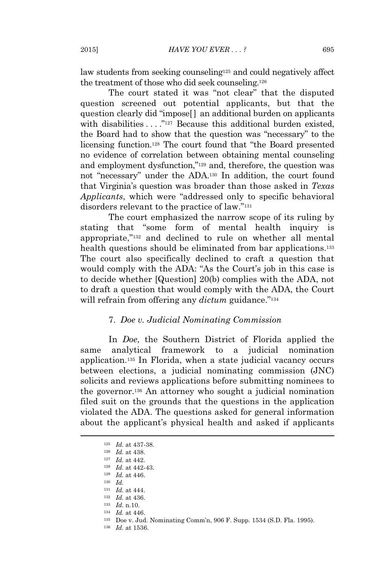law students from seeking counseling<sup>125</sup> and could negatively affect the treatment of those who did seek counseling.<sup>126</sup>

The court stated it was "not clear" that the disputed question screened out potential applicants, but that the question clearly did "impose[ ] an additional burden on applicants with disabilities ...."<sup>127</sup> Because this additional burden existed, the Board had to show that the question was "necessary" to the licensing function.<sup>128</sup> The court found that "the Board presented no evidence of correlation between obtaining mental counseling and employment dysfunction," <sup>129</sup> and, therefore, the question was not "necessary" under the ADA.<sup>130</sup> In addition, the court found that Virginia's question was broader than those asked in *Texas Applicants*, which were "addressed only to specific behavioral disorders relevant to the practice of law." 131

The court emphasized the narrow scope of its ruling by stating that "some form of mental health inquiry is appropriate," <sup>132</sup> and declined to rule on whether all mental health questions should be eliminated from bar applications.<sup>133</sup> The court also specifically declined to craft a question that would comply with the ADA: "As the Court's job in this case is to decide whether [Question] 20(b) complies with the ADA, not to draft a question that would comply with the ADA, the Court will refrain from offering any *dictum* guidance."<sup>134</sup>

#### 7. *Doe v. Judicial Nominating Commission*

In *Doe*, the Southern District of Florida applied the same analytical framework to a judicial nomination application.<sup>135</sup> In Florida, when a state judicial vacancy occurs between elections, a judicial nominating commission (JNC) solicits and reviews applications before submitting nominees to the governor.<sup>136</sup> An attorney who sought a judicial nomination filed suit on the grounds that the questions in the application violated the ADA. The questions asked for general information about the applicant's physical health and asked if applicants

- <sup>128</sup> *Id.* at 442-43.
- <sup>129</sup> *Id.* at 446.
- <sup>130</sup> *Id.*
- <sup>131</sup> *Id.* at 444.
- <sup>132</sup> *Id.* at 436.
- <sup>133</sup> *Id.* n.10.
- <sup>134</sup> *Id.* at 446.
- <sup>135</sup> Doe v. Jud. Nominating Comm'n, 906 F. Supp. 1534 (S.D. Fla. 1995).
- <sup>136</sup> *Id.* at 1536.

<sup>125</sup> *Id.* at 437-38.

<sup>126</sup> *Id.* at 438.

<sup>127</sup> *Id.* at 442.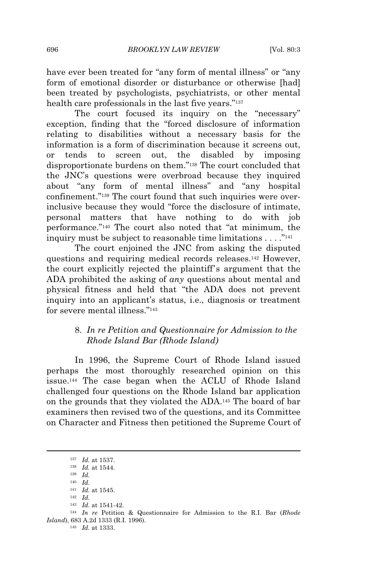have ever been treated for "any form of mental illness" or "any form of emotional disorder or disturbance or otherwise [had] been treated by psychologists, psychiatrists, or other mental health care professionals in the last five years." 137

The court focused its inquiry on the "necessary" exception, finding that the "forced disclosure of information relating to disabilities without a necessary basis for the information is a form of discrimination because it screens out, or tends to screen out, the disabled by imposing disproportionate burdens on them." <sup>138</sup> The court concluded that the JNC's questions were overbroad because they inquired about "any form of mental illness" and "any hospital confinement." <sup>139</sup> The court found that such inquiries were overinclusive because they would "force the disclosure of intimate, personal matters that have nothing to do with job performance." <sup>140</sup> The court also noted that "at minimum, the inquiry must be subject to reasonable time limitations  $\dots$ ."<sup>141</sup>

The court enjoined the JNC from asking the disputed questions and requiring medical records releases.<sup>142</sup> However, the court explicitly rejected the plaintiff's argument that the ADA prohibited the asking of *any* questions about mental and physical fitness and held that "the ADA does not prevent inquiry into an applicant's status, i.e., diagnosis or treatment for severe mental illness."<sup>143</sup>

## 8. *In re Petition and Questionnaire for Admission to the Rhode Island Bar (Rhode Island)*

In 1996, the Supreme Court of Rhode Island issued perhaps the most thoroughly researched opinion on this issue.<sup>144</sup> The case began when the ACLU of Rhode Island challenged four questions on the Rhode Island bar application on the grounds that they violated the ADA.<sup>145</sup> The board of bar examiners then revised two of the questions, and its Committee on Character and Fitness then petitioned the Supreme Court of

<sup>137</sup> *Id.* at 1537.

<sup>138</sup> *Id.* at 1544.

<sup>139</sup> *Id.*

<sup>140</sup> *Id.*

<sup>141</sup> *Id.* at 1545. <sup>142</sup> *Id.*

<sup>143</sup> *Id.* at 1541-42.

<sup>144</sup> *In re* Petition & Questionnaire for Admission to the R.I. Bar (*Rhode Island*), 683 A.2d 1333 (R.I. 1996).

<sup>145</sup> *Id.* at 1333.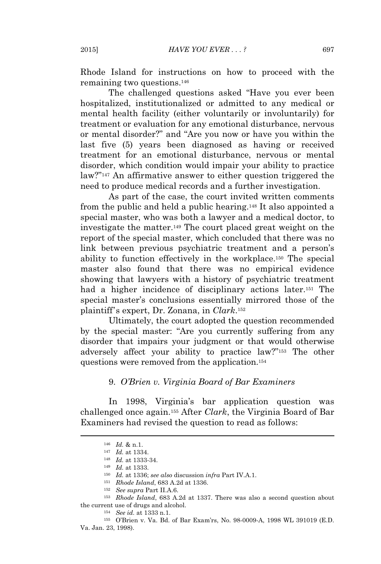Rhode Island for instructions on how to proceed with the remaining two questions.<sup>146</sup>

The challenged questions asked "Have you ever been hospitalized, institutionalized or admitted to any medical or mental health facility (either voluntarily or involuntarily) for treatment or evaluation for any emotional disturbance, nervous or mental disorder?" and "Are you now or have you within the last five (5) years been diagnosed as having or received treatment for an emotional disturbance, nervous or mental disorder, which condition would impair your ability to practice law?" <sup>147</sup> An affirmative answer to either question triggered the need to produce medical records and a further investigation.

As part of the case, the court invited written comments from the public and held a public hearing.<sup>148</sup> It also appointed a special master, who was both a lawyer and a medical doctor, to investigate the matter.<sup>149</sup> The court placed great weight on the report of the special master, which concluded that there was no link between previous psychiatric treatment and a person's ability to function effectively in the workplace.<sup>150</sup> The special master also found that there was no empirical evidence showing that lawyers with a history of psychiatric treatment had a higher incidence of disciplinary actions later.<sup>151</sup> The special master's conclusions essentially mirrored those of the plaintiff's expert, Dr. Zonana, in *Clark*. 152

Ultimately, the court adopted the question recommended by the special master: "Are you currently suffering from any disorder that impairs your judgment or that would otherwise adversely affect your ability to practice law?" <sup>153</sup> The other questions were removed from the application.<sup>154</sup>

#### 9. *O'Brien v. Virginia Board of Bar Examiners*

In 1998, Virginia's bar application question was challenged once again.<sup>155</sup> After *Clark*, the Virginia Board of Bar Examiners had revised the question to read as follows:

<sup>155</sup> O'Brien v. Va. Bd. of Bar Exam'rs, No. 98-0009-A, 1998 WL 391019 (E.D. Va. Jan. 23, 1998).

<sup>146</sup> *Id.* & n.1.

<sup>147</sup> *Id.* at 1334.

<sup>148</sup> *Id.* at 1333-34.

<sup>149</sup> *Id.* at 1333.

<sup>150</sup> *Id.* at 1336; *see also* discussion *infra* Part IV.A.1.

<sup>151</sup> *Rhode Island*, 683 A.2d at 1336.

<sup>152</sup> *See supra* Part II.A.6.

<sup>153</sup> *Rhode Island*, 683 A.2d at 1337. There was also a second question about the current use of drugs and alcohol.

<sup>154</sup> *See id.* at 1333 n.1.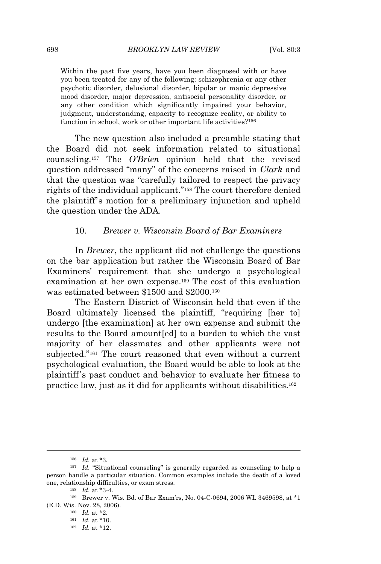Within the past five years, have you been diagnosed with or have you been treated for any of the following: schizophrenia or any other psychotic disorder, delusional disorder, bipolar or manic depressive mood disorder, major depression, antisocial personality disorder, or any other condition which significantly impaired your behavior, judgment, understanding, capacity to recognize reality, or ability to function in school, work or other important life activities?<sup>156</sup>

The new question also included a preamble stating that the Board did not seek information related to situational counseling.<sup>157</sup> The *O'Brien* opinion held that the revised question addressed "many" of the concerns raised in *Clark* and that the question was "carefully tailored to respect the privacy rights of the individual applicant." <sup>158</sup> The court therefore denied the plaintiff's motion for a preliminary injunction and upheld the question under the ADA.

#### 10. *Brewer v. Wisconsin Board of Bar Examiners*

In *Brewer*, the applicant did not challenge the questions on the bar application but rather the Wisconsin Board of Bar Examiners' requirement that she undergo a psychological examination at her own expense.<sup>159</sup> The cost of this evaluation was estimated between \$1500 and \$2000.<sup>160</sup>

The Eastern District of Wisconsin held that even if the Board ultimately licensed the plaintiff, "requiring [her to] undergo [the examination] at her own expense and submit the results to the Board amount[ed] to a burden to which the vast majority of her classmates and other applicants were not subjected." <sup>161</sup> The court reasoned that even without a current psychological evaluation, the Board would be able to look at the plaintiff's past conduct and behavior to evaluate her fitness to practice law, just as it did for applicants without disabilities.<sup>162</sup>

<sup>156</sup> *Id.* at \*3.

<sup>&</sup>lt;sup>157</sup> *Id.* "Situational counseling" is generally regarded as counseling to help a person handle a particular situation. Common examples include the death of a loved one, relationship difficulties, or exam stress.

<sup>158</sup> *Id.* at \*3-4.

<sup>159</sup> Brewer v. Wis. Bd. of Bar Exam'rs, No. 04-C-0694, 2006 WL 3469598, at \*1 (E.D. Wis. Nov. 28, 2006).

<sup>160</sup> *Id.* at \*2.

<sup>161</sup> *Id.* at \*10.

<sup>162</sup> *Id.* at \*12.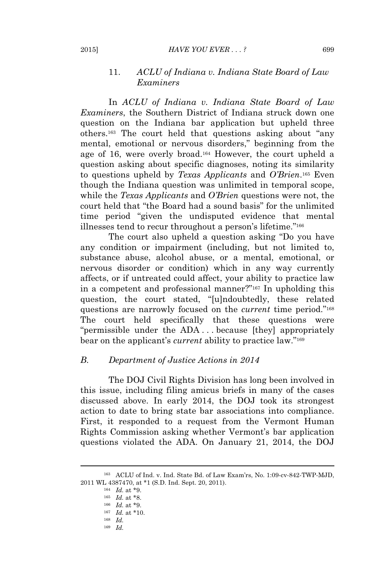#### 2015] *HAVE YOU EVER . . . ?* 699

## 11. *ACLU of Indiana v. Indiana State Board of Law Examiners*

In *ACLU of Indiana v. Indiana State Board of Law Examiners*, the Southern District of Indiana struck down one question on the Indiana bar application but upheld three others.<sup>163</sup> The court held that questions asking about "any mental, emotional or nervous disorders," beginning from the age of 16, were overly broad.<sup>164</sup> However, the court upheld a question asking about specific diagnoses, noting its similarity to questions upheld by *Texas Applicants* and *O'Brien*. <sup>165</sup> Even though the Indiana question was unlimited in temporal scope, while the *Texas Applicants* and *O'Brien* questions were not, the court held that "the Board had a sound basis" for the unlimited time period "given the undisputed evidence that mental illnesses tend to recur throughout a person's lifetime."<sup>166</sup>

The court also upheld a question asking "Do you have any condition or impairment (including, but not limited to, substance abuse, alcohol abuse, or a mental, emotional, or nervous disorder or condition) which in any way currently affects, or if untreated could affect, your ability to practice law in a competent and professional manner?" <sup>167</sup> In upholding this question, the court stated, "[u]ndoubtedly, these related questions are narrowly focused on the *current* time period." 168 The court held specifically that these questions were "permissible under the ADA . . . because [they] appropriately bear on the applicant's *current* ability to practice law."<sup>169</sup>

## *B. Department of Justice Actions in 2014*

The DOJ Civil Rights Division has long been involved in this issue, including filing amicus briefs in many of the cases discussed above. In early 2014, the DOJ took its strongest action to date to bring state bar associations into compliance. First, it responded to a request from the Vermont Human Rights Commission asking whether Vermont's bar application questions violated the ADA. On January 21, 2014, the DOJ

<sup>169</sup> *Id.*

<sup>163</sup> ACLU of Ind. v. Ind. State Bd. of Law Exam'rs, No. 1:09-cv-842-TWP-MJD, 2011 WL 4387470, at \*1 (S.D. Ind. Sept. 20, 2011).

<sup>164</sup> *Id.* at \*9.

<sup>165</sup> *Id.* at \*8.

<sup>166</sup> *Id.* at \*9.

<sup>167</sup> *Id.* at \*10.

<sup>168</sup> *Id.*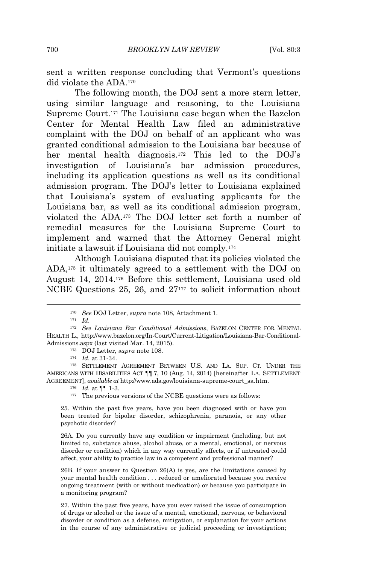sent a written response concluding that Vermont's questions did violate the ADA.<sup>170</sup>

The following month, the DOJ sent a more stern letter, using similar language and reasoning, to the Louisiana Supreme Court.<sup>171</sup> The Louisiana case began when the Bazelon Center for Mental Health Law filed an administrative complaint with the DOJ on behalf of an applicant who was granted conditional admission to the Louisiana bar because of her mental health diagnosis.<sup>172</sup> This led to the DOJ's investigation of Louisiana's bar admission procedures, including its application questions as well as its conditional admission program. The DOJ's letter to Louisiana explained that Louisiana's system of evaluating applicants for the Louisiana bar, as well as its conditional admission program, violated the ADA.<sup>173</sup> The DOJ letter set forth a number of remedial measures for the Louisiana Supreme Court to implement and warned that the Attorney General might initiate a lawsuit if Louisiana did not comply.<sup>174</sup>

Although Louisiana disputed that its policies violated the ADA,<sup>175</sup> it ultimately agreed to a settlement with the DOJ on August 14, 2014.<sup>176</sup> Before this settlement, Louisiana used old NCBE Questions 25, 26, and 27<sup>177</sup> to solicit information about

<sup>171</sup> *Id.*

<sup>173</sup> DOJ Letter, *supra* note 108.

<sup>174</sup> *Id.* at 31-34.

<sup>175</sup> SETTLEMENT AGREEMENT BETWEEN U.S. AND LA. SUP. CT. UNDER THE AMERICANS WITH DISABILITIES ACT ¶¶ 7, 10 (Aug. 14, 2014) [hereinafter LA. SETTLEMENT AGREEMENT], *available at* http://www.ada.gov/louisiana-supreme-court\_sa.htm.

<sup>176</sup> *Id.* at ¶¶ 1-3.

177 The previous versions of the NCBE questions were as follows:

25. Within the past five years, have you been diagnosed with or have you been treated for bipolar disorder, schizophrenia, paranoia, or any other psychotic disorder?

26A. Do you currently have any condition or impairment (including, but not limited to, substance abuse, alcohol abuse, or a mental, emotional, or nervous disorder or condition) which in any way currently affects, or if untreated could affect, your ability to practice law in a competent and professional manner?

26B. If your answer to Question 26(A) is yes, are the limitations caused by your mental health condition . . . reduced or ameliorated because you receive ongoing treatment (with or without medication) or because you participate in a monitoring program?

27. Within the past five years, have you ever raised the issue of consumption of drugs or alcohol or the issue of a mental, emotional, nervous, or behavioral disorder or condition as a defense, mitigation, or explanation for your actions in the course of any administrative or judicial proceeding or investigation;

<sup>170</sup> *See* DOJ Letter, *supra* note 108, Attachment 1.

<sup>172</sup> *See Louisiana Bar Conditional Admissions*, BAZELON CENTER FOR MENTAL HEALTH L., http://www.bazelon.org/In-Court/Current-Litigation/Louisiana-Bar-Conditional-Admissions.aspx (last visited Mar. 14, 2015).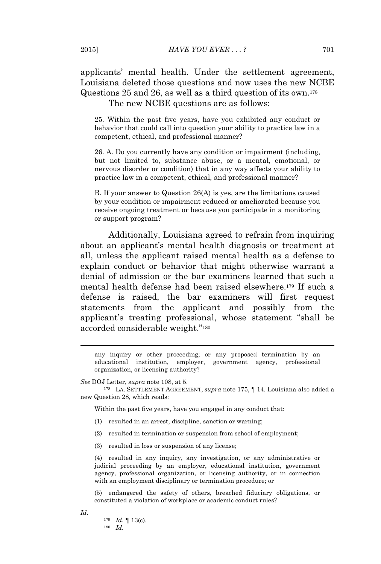## applicants' mental health. Under the settlement agreement, Louisiana deleted those questions and now uses the new NCBE Questions 25 and 26, as well as a third question of its own.<sup>178</sup> The new NCBE questions are as follows:

25. Within the past five years, have you exhibited any conduct or behavior that could call into question your ability to practice law in a competent, ethical, and professional manner?

26. A. Do you currently have any condition or impairment (including, but not limited to, substance abuse, or a mental, emotional, or nervous disorder or condition) that in any way affects your ability to practice law in a competent, ethical, and professional manner?

B. If your answer to Question 26(A) is yes, are the limitations caused by your condition or impairment reduced or ameliorated because you receive ongoing treatment or because you participate in a monitoring or support program?

Additionally, Louisiana agreed to refrain from inquiring about an applicant's mental health diagnosis or treatment at all, unless the applicant raised mental health as a defense to explain conduct or behavior that might otherwise warrant a denial of admission or the bar examiners learned that such a mental health defense had been raised elsewhere.<sup>179</sup> If such a defense is raised, the bar examiners will first request statements from the applicant and possibly from the applicant's treating professional, whose statement "shall be accorded considerable weight." 180

any inquiry or other proceeding; or any proposed termination by an educational institution, employer, government agency, professional organization, or licensing authority?

*See* DOJ Letter, *supra* note 108, at 5.

<sup>178</sup> LA. SETTLEMENT AGREEMENT, *supra* note 175, ¶ 14. Louisiana also added a new Question 28, which reads:

Within the past five years, have you engaged in any conduct that:

- (1) resulted in an arrest, discipline, sanction or warning;
- (2) resulted in termination or suspension from school of employment;
- (3) resulted in loss or suspension of any license;

(4) resulted in any inquiry, any investigation, or any administrative or judicial proceeding by an employer, educational institution, government agency, professional organization, or licensing authority, or in connection with an employment disciplinary or termination procedure; or

(5) endangered the safety of others, breached fiduciary obligations, or constituted a violation of workplace or academic conduct rules?

*Id.*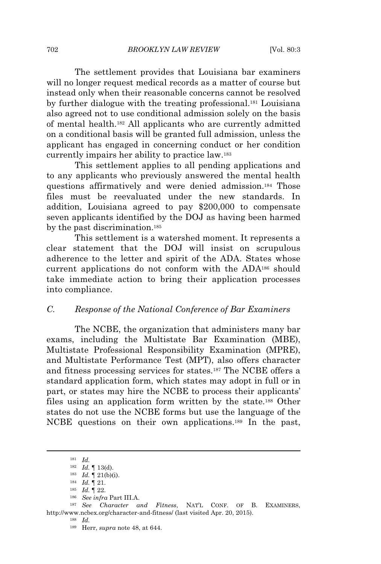The settlement provides that Louisiana bar examiners will no longer request medical records as a matter of course but instead only when their reasonable concerns cannot be resolved by further dialogue with the treating professional.<sup>181</sup> Louisiana also agreed not to use conditional admission solely on the basis of mental health.<sup>182</sup> All applicants who are currently admitted on a conditional basis will be granted full admission, unless the applicant has engaged in concerning conduct or her condition currently impairs her ability to practice law.<sup>183</sup>

This settlement applies to all pending applications and to any applicants who previously answered the mental health questions affirmatively and were denied admission.<sup>184</sup> Those files must be reevaluated under the new standards. In addition, Louisiana agreed to pay \$200,000 to compensate seven applicants identified by the DOJ as having been harmed by the past discrimination.<sup>185</sup>

This settlement is a watershed moment. It represents a clear statement that the DOJ will insist on scrupulous adherence to the letter and spirit of the ADA. States whose current applications do not conform with the ADA<sup>186</sup> should take immediate action to bring their application processes into compliance.

## *C. Response of the National Conference of Bar Examiners*

The NCBE, the organization that administers many bar exams, including the Multistate Bar Examination (MBE), Multistate Professional Responsibility Examination (MPRE), and Multistate Performance Test (MPT), also offers character and fitness processing services for states.<sup>187</sup> The NCBE offers a standard application form, which states may adopt in full or in part, or states may hire the NCBE to process their applicants' files using an application form written by the state.<sup>188</sup> Other states do not use the NCBE forms but use the language of the NCBE questions on their own applications.<sup>189</sup> In the past,

<sup>181</sup> *Id.*

<sup>182</sup> *Id.* ¶ 13(d).

<sup>183</sup> *Id.* ¶ 21(b)(i).

<sup>184</sup> *Id.* ¶ 21.

<sup>185</sup> *Id.* ¶ 22.

<sup>186</sup> *See infra* Part III.A.

<sup>187</sup> *See Character and Fitness*, NAT'<sup>L</sup> CONF. OF B. EXAMINERS, http://www.ncbex.org/character-and-fitness/ (last visited Apr. 20, 2015).

<sup>188</sup> *Id.*

<sup>189</sup> Herr, *supra* note 48, at 644.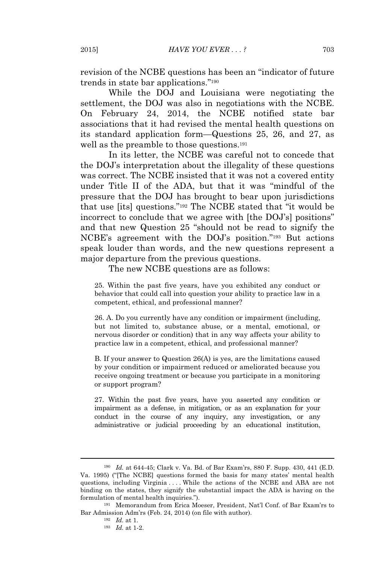revision of the NCBE questions has been an "indicator of future trends in state bar applications."<sup>190</sup>

While the DOJ and Louisiana were negotiating the settlement, the DOJ was also in negotiations with the NCBE. On February 24, 2014, the NCBE notified state bar associations that it had revised the mental health questions on its standard application form—Questions 25, 26, and 27, as well as the preamble to those questions.<sup>191</sup>

In its letter, the NCBE was careful not to concede that the DOJ's interpretation about the illegality of these questions was correct. The NCBE insisted that it was not a covered entity under Title II of the ADA, but that it was "mindful of the pressure that the DOJ has brought to bear upon jurisdictions that use [its] questions." <sup>192</sup> The NCBE stated that "it would be incorrect to conclude that we agree with [the DOJ's] positions" and that new Question 25 "should not be read to signify the NCBE's agreement with the DOJ's position." <sup>193</sup> But actions speak louder than words, and the new questions represent a major departure from the previous questions.

The new NCBE questions are as follows:

25. Within the past five years, have you exhibited any conduct or behavior that could call into question your ability to practice law in a competent, ethical, and professional manner?

26. A. Do you currently have any condition or impairment (including, but not limited to, substance abuse, or a mental, emotional, or nervous disorder or condition) that in any way affects your ability to practice law in a competent, ethical, and professional manner?

B. If your answer to Question 26(A) is yes, are the limitations caused by your condition or impairment reduced or ameliorated because you receive ongoing treatment or because you participate in a monitoring or support program?

27. Within the past five years, have you asserted any condition or impairment as a defense, in mitigation, or as an explanation for your conduct in the course of any inquiry, any investigation, or any administrative or judicial proceeding by an educational institution,

<sup>190</sup> *Id.* at 644-45; Clark v. Va. Bd. of Bar Exam'rs, 880 F. Supp. 430, 441 (E.D. Va. 1995) ("[The NCBE] questions formed the basis for many states' mental health questions, including Virginia . . . . While the actions of the NCBE and ABA are not binding on the states, they signify the substantial impact the ADA is having on the formulation of mental health inquiries.").

<sup>191</sup> Memorandum from Erica Moeser, President, Nat'l Conf. of Bar Exam'rs to Bar Admission Adm'rs (Feb. 24, 2014) (on file with author).

<sup>192</sup> *Id.* at 1.

<sup>193</sup> *Id.* at 1-2.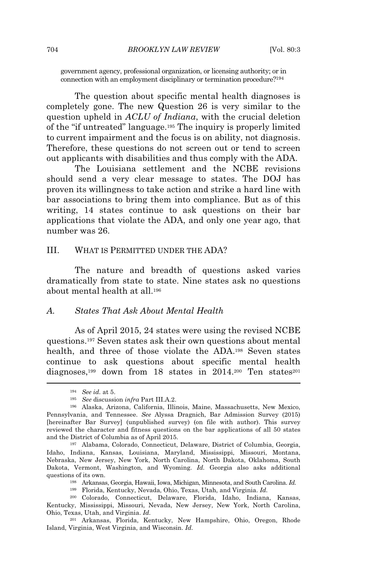government agency, professional organization, or licensing authority; or in connection with an employment disciplinary or termination procedure?<sup>194</sup>

The question about specific mental health diagnoses is completely gone. The new Question 26 is very similar to the question upheld in *ACLU of Indiana*, with the crucial deletion of the "if untreated" language.<sup>195</sup> The inquiry is properly limited to current impairment and the focus is on ability, not diagnosis. Therefore, these questions do not screen out or tend to screen out applicants with disabilities and thus comply with the ADA.

The Louisiana settlement and the NCBE revisions should send a very clear message to states. The DOJ has proven its willingness to take action and strike a hard line with bar associations to bring them into compliance. But as of this writing, 14 states continue to ask questions on their bar applications that violate the ADA, and only one year ago, that number was 26.

#### III. WHAT IS PERMITTED UNDER THE ADA?

The nature and breadth of questions asked varies dramatically from state to state. Nine states ask no questions about mental health at all.<sup>196</sup>

#### *A. States That Ask About Mental Health*

As of April 2015, 24 states were using the revised NCBE questions.<sup>197</sup> Seven states ask their own questions about mental health, and three of those violate the ADA.<sup>198</sup> Seven states continue to ask questions about specific mental health diagnoses,<sup>199</sup> down from 18 states in 2014.<sup>200</sup> Ten states<sup>201</sup>

<sup>198</sup> Arkansas, Georgia, Hawaii, Iowa, Michigan, Minnesota, and South Carolina. *Id.*

<sup>194</sup> *See id.* at 5.

<sup>195</sup> *See* discussion *infra* Part III.A.2.

<sup>196</sup> Alaska, Arizona, California, Illinois, Maine, Massachusetts, New Mexico, Pennsylvania, and Tennessee. *See* Alyssa Dragnich, Bar Admission Survey (2015) [hereinafter Bar Survey] (unpublished survey) (on file with author). This survey reviewed the character and fitness questions on the bar applications of all 50 states and the District of Columbia as of April 2015.

<sup>197</sup> Alabama, Colorado, Connecticut, Delaware, District of Columbia, Georgia, Idaho, Indiana, Kansas, Louisiana, Maryland, Mississippi, Missouri, Montana, Nebraska, New Jersey, New York, North Carolina, North Dakota, Oklahoma, South Dakota, Vermont, Washington, and Wyoming. *Id.* Georgia also asks additional questions of its own.

<sup>199</sup> Florida, Kentucky, Nevada, Ohio, Texas, Utah, and Virginia. *Id.*

<sup>200</sup> Colorado, Connecticut, Delaware, Florida, Idaho, Indiana, Kansas, Kentucky, Mississippi, Missouri, Nevada, New Jersey, New York, North Carolina, Ohio, Texas, Utah, and Virginia. *Id.*

<sup>201</sup> Arkansas, Florida, Kentucky, New Hampshire, Ohio, Oregon, Rhode Island, Virginia, West Virginia, and Wisconsin. *Id.*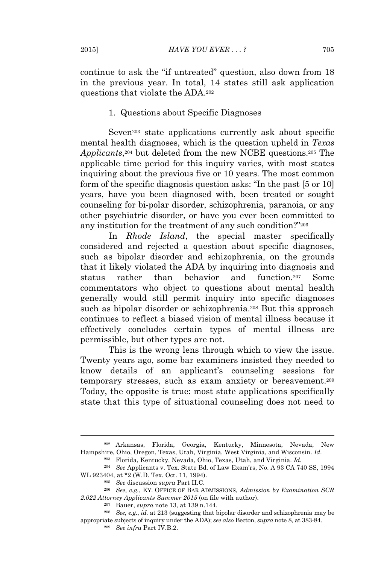continue to ask the "if untreated" question, also down from 18 in the previous year. In total, 14 states still ask application questions that violate the ADA.<sup>202</sup>

## 1. Questions about Specific Diagnoses

Seven<sup>203</sup> state applications currently ask about specific mental health diagnoses, which is the question upheld in *Texas* Applicants<sup>204</sup> but deleted from the new NCBE questions.<sup>205</sup> The applicable time period for this inquiry varies, with most states inquiring about the previous five or 10 years. The most common form of the specific diagnosis question asks: "In the past [5 or 10] years, have you been diagnosed with, been treated or sought counseling for bi‐polar disorder, schizophrenia, paranoia, or any other psychiatric disorder, or have you ever been committed to any institution for the treatment of any such condition?" 206

In *Rhode Island*, the special master specifically considered and rejected a question about specific diagnoses, such as bipolar disorder and schizophrenia, on the grounds that it likely violated the ADA by inquiring into diagnosis and status rather than behavior and function.<sup>207</sup> Some commentators who object to questions about mental health generally would still permit inquiry into specific diagnoses such as bipolar disorder or schizophrenia.<sup>208</sup> But this approach continues to reflect a biased vision of mental illness because it effectively concludes certain types of mental illness are permissible, but other types are not.

This is the wrong lens through which to view the issue. Twenty years ago, some bar examiners insisted they needed to know details of an applicant's counseling sessions for temporary stresses, such as exam anxiety or bereavement.<sup>209</sup> Today, the opposite is true: most state applications specifically state that this type of situational counseling does not need to

<sup>202</sup> Arkansas, Florida, Georgia, Kentucky, Minnesota, Nevada, New Hampshire, Ohio, Oregon, Texas, Utah, Virginia, West Virginia, and Wisconsin. *Id.*

<sup>203</sup> Florida, Kentucky, Nevada, Ohio, Texas, Utah, and Virginia. *Id.*

<sup>204</sup> *See* Applicants v. Tex. State Bd. of Law Exam'rs, No. A 93 CA 740 SS, 1994 WL 923404, at \*2 (W.D. Tex. Oct. 11, 1994).

<sup>205</sup> *See* discussion *supra* Part II.C.

<sup>206</sup> *See, e.g.*, KY. OFFICE OF BAR ADMISSIONS, *Admission by Examination SCR 2.022 Attorney Applicants Summer 2015* (on file with author).

<sup>207</sup> Bauer, *supra* note 13, at 139 n.144.

<sup>208</sup> *See, e.g.*, *id.* at 213 (suggesting that bipolar disorder and schizophrenia may be appropriate subjects of inquiry under the ADA); *see also* Becton, *supra* note 8, at 383-84.

<sup>209</sup> *See infra* Part IV.B.2.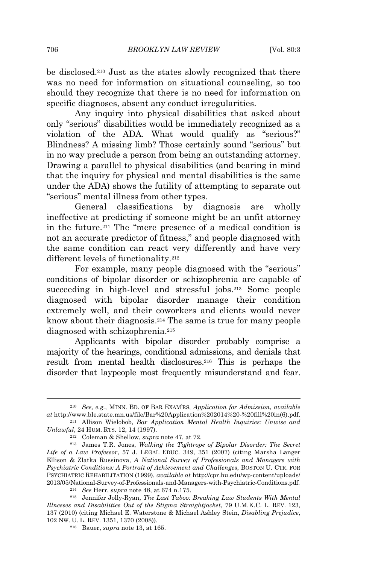be disclosed.<sup>210</sup> Just as the states slowly recognized that there was no need for information on situational counseling, so too should they recognize that there is no need for information on specific diagnoses, absent any conduct irregularities.

Any inquiry into physical disabilities that asked about only "serious" disabilities would be immediately recognized as a violation of the ADA. What would qualify as "serious?" Blindness? A missing limb? Those certainly sound "serious" but in no way preclude a person from being an outstanding attorney. Drawing a parallel to physical disabilities (and bearing in mind that the inquiry for physical and mental disabilities is the same under the ADA) shows the futility of attempting to separate out "serious" mental illness from other types.

General classifications by diagnosis are wholly ineffective at predicting if someone might be an unfit attorney in the future.<sup>211</sup> The "mere presence of a medical condition is not an accurate predictor of fitness," and people diagnosed with the same condition can react very differently and have very different levels of functionality.<sup>212</sup>

For example, many people diagnosed with the "serious" conditions of bipolar disorder or schizophrenia are capable of succeeding in high-level and stressful jobs.<sup>213</sup> Some people diagnosed with bipolar disorder manage their condition extremely well, and their coworkers and clients would never know about their diagnosis.<sup>214</sup> The same is true for many people diagnosed with schizophrenia.<sup>215</sup>

Applicants with bipolar disorder probably comprise a majority of the hearings, conditional admissions, and denials that result from mental health disclosures.<sup>216</sup> This is perhaps the disorder that laypeople most frequently misunderstand and fear.

<sup>210</sup> *See, e.g.*, MINN. BD. OF BAR EXAM'RS, *Application for Admission*, *available at* http://www.ble.state.mn.us/file/Bar%20Application%202014%20-%20fill%20in(6).pdf. <sup>211</sup> Allison Wielobob, *Bar Application Mental Health Inquiries: Unwise and*

*Unlawful*, 24 HUM. RTS. 12, 14 (1997).

<sup>212</sup> Coleman & Shellow, *supra* note 47, at 72.

<sup>213</sup> James T.R. Jones, *Walking the Tightrope of Bipolar Disorder: The Secret Life of a Law Professor*, 57 J. LEGAL EDUC. 349, 351 (2007) (citing Marsha Langer Ellison & Zlatka Russinova, *A National Survey of Professionals and Managers with Psychiatric Conditions: A Portrait of Achievement and Challenges*, BOSTON U. CTR. FOR PSYCHIATRIC REHABILITATION (1999), *available at* http://cpr.bu.edu/wp-content/uploads/ 2013/05/National-Survey-of-Professionals-and-Managers-with-Psychiatric-Conditions.pdf.

<sup>214</sup> *See* Herr, *supra* note 48, at 674 n.175.

<sup>215</sup> Jennifer Jolly-Ryan, *The Last Taboo: Breaking Law Students With Mental Illnesses and Disabilities Out of the Stigma Straightjacket*, 79 U.M.K.C. L. REV. 123, 137 (2010) (citing Michael E. Waterstone & Michael Ashley Stein, *Disabling Prejudice*, 102 NW. U. L. REV. 1351, 1370 (2008)).

<sup>216</sup> Bauer, *supra* note 13, at 165.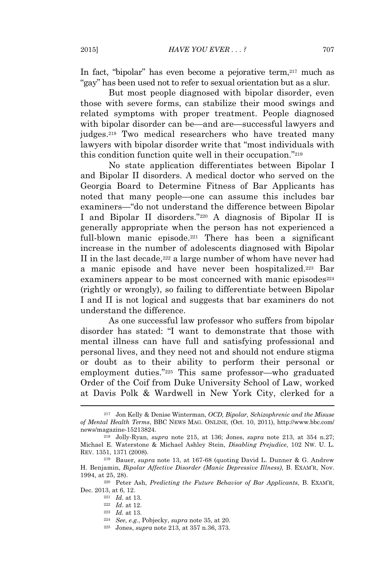In fact, "bipolar" has even become a pejorative term,  $217$  much as "gay" has been used not to refer to sexual orientation but as a slur.

But most people diagnosed with bipolar disorder, even those with severe forms, can stabilize their mood swings and related symptoms with proper treatment. People diagnosed with bipolar disorder can be—and are—successful lawyers and judges.<sup>218</sup> Two medical researchers who have treated many lawyers with bipolar disorder write that "most individuals with this condition function quite well in their occupation." 219

No state application differentiates between Bipolar I and Bipolar II disorders. A medical doctor who served on the Georgia Board to Determine Fitness of Bar Applicants has noted that many people—one can assume this includes bar examiners—"do not understand the difference between Bipolar I and Bipolar II disorders." <sup>220</sup> A diagnosis of Bipolar II is generally appropriate when the person has not experienced a full-blown manic episode.<sup>221</sup> There has been a significant increase in the number of adolescents diagnosed with Bipolar II in the last decade, $222$  a large number of whom have never had a manic episode and have never been hospitalized.<sup>223</sup> Bar examiners appear to be most concerned with manic episodes<sup>224</sup> (rightly or wrongly), so failing to differentiate between Bipolar I and II is not logical and suggests that bar examiners do not understand the difference.

As one successful law professor who suffers from bipolar disorder has stated: "I want to demonstrate that those with mental illness can have full and satisfying professional and personal lives, and they need not and should not endure stigma or doubt as to their ability to perform their personal or employment duties." <sup>225</sup> This same professor—who graduated Order of the Coif from Duke University School of Law, worked at Davis Polk & Wardwell in New York City, clerked for a

<sup>217</sup> Jon Kelly & Denise Winterman, *OCD, Bipolar, Schizophrenic and the Misuse of Mental Health Terms*, BBC NEWS MAG. ONLINE, (Oct. 10, 2011), http://www.bbc.com/ news/magazine-15213824.

<sup>218</sup> Jolly-Ryan, *supra* note 215, at 136; Jones, *supra* note 213, at 354 n.27; Michael E. Waterstone & Michael Ashley Stein, *Disabling Prejudice*, 102 NW. U. L. REV. 1351, 1371 (2008).

<sup>219</sup> Bauer, *supra* note 13, at 167-68 (quoting David L. Dunner & G. Andrew H. Benjamin, *Bipolar Affective Disorder (Manic Depressive Illness)*, B. EXAM'R, Nov. 1994, at 25, 28).

<sup>220</sup> Peter Ash, *Predicting the Future Behavior of Bar Applicants*, B. EXAM'R, Dec. 2013, at 6, 12.

<sup>221</sup> *Id.* at 13.

<sup>222</sup> *Id.* at 12.

<sup>223</sup> *Id.* at 13.

<sup>224</sup> *See, e.g.*, Pobjecky, *supra* note 35, at 20.

<sup>225</sup> Jones, *supra* note 213, at 357 n.36, 373.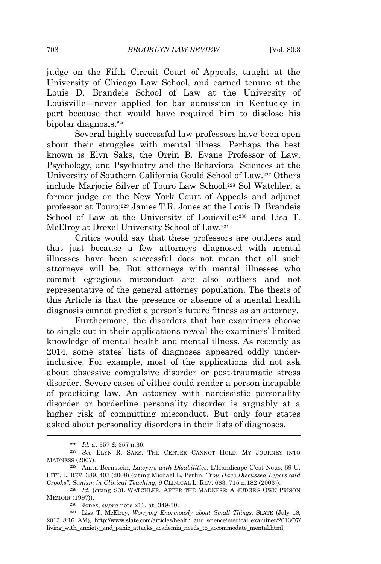judge on the Fifth Circuit Court of Appeals, taught at the University of Chicago Law School, and earned tenure at the Louis D. Brandeis School of Law at the University of Louisville—never applied for bar admission in Kentucky in part because that would have required him to disclose his bipolar diagnosis.<sup>226</sup>

Several highly successful law professors have been open about their struggles with mental illness. Perhaps the best known is Elyn Saks, the Orrin B. Evans Professor of Law, Psychology, and Psychiatry and the Behavioral Sciences at the University of Southern California Gould School of Law.<sup>227</sup> Others include Marjorie Silver of Touro Law School;<sup>228</sup> Sol Watchler, a former judge on the New York Court of Appeals and adjunct professor at Touro;<sup>229</sup> James T.R. Jones at the Louis D. Brandeis School of Law at the University of Louisville;<sup>230</sup> and Lisa T. McElroy at Drexel University School of Law.<sup>231</sup>

Critics would say that these professors are outliers and that just because a few attorneys diagnosed with mental illnesses have been successful does not mean that all such attorneys will be. But attorneys with mental illnesses who commit egregious misconduct are also outliers and not representative of the general attorney population. The thesis of this Article is that the presence or absence of a mental health diagnosis cannot predict a person's future fitness as an attorney.

Furthermore, the disorders that bar examiners choose to single out in their applications reveal the examiners' limited knowledge of mental health and mental illness. As recently as 2014, some states' lists of diagnoses appeared oddly underinclusive. For example, most of the applications did not ask about obsessive compulsive disorder or post-traumatic stress disorder. Severe cases of either could render a person incapable of practicing law. An attorney with narcissistic personality disorder or borderline personality disorder is arguably at a higher risk of committing misconduct. But only four states asked about personality disorders in their lists of diagnoses.

<sup>226</sup> *Id.* at 357 & 357 n.36.

<sup>227</sup> *See* ELYN R. SAKS, THE CENTER CANNOT HOLD: MY JOURNEY INTO MADNESS (2007).

<sup>228</sup> Anita Bernstein, *Lawyers with Disabilities:* L'Handicapé C'est Nous, 69 U. PITT. L. REV. 389, 403 (2008) (citing Michael L. Perlin, *"You Have Discussed Lepers and Crooks": Sanism in Clinical Teaching*, 9 CLINICAL L. REV. 683, 715 n.182 (2003)).

<sup>&</sup>lt;sup>229</sup> *Id.* (citing SOL WATCHLER, AFTER THE MADNESS: A JUDGE'S OWN PRISON MEMOIR (1997)).

<sup>230</sup> Jones, *supra* note 213, at, 349-50.

<sup>231</sup> Lisa T. McElroy, *Worrying Enormously about Small Things*, SLATE (July 18, 2013 8:16 AM), http://www.slate.com/articles/health\_and\_science/medical\_examiner/2013/07/ living\_with\_anxiety\_and\_panic\_attacks\_academia\_needs\_to\_accommodate\_mental.html.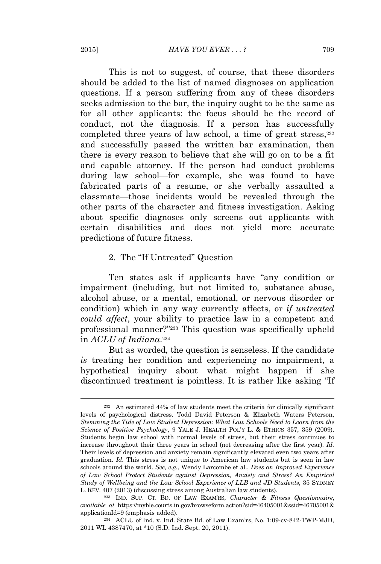This is not to suggest, of course, that these disorders should be added to the list of named diagnoses on application questions. If a person suffering from any of these disorders seeks admission to the bar, the inquiry ought to be the same as for all other applicants: the focus should be the record of conduct, not the diagnosis. If a person has successfully completed three years of law school, a time of great stress,<sup>232</sup> and successfully passed the written bar examination, then there is every reason to believe that she will go on to be a fit and capable attorney. If the person had conduct problems during law school—for example, she was found to have fabricated parts of a resume, or she verbally assaulted a classmate—those incidents would be revealed through the other parts of the character and fitness investigation. Asking about specific diagnoses only screens out applicants with certain disabilities and does not yield more accurate predictions of future fitness.

#### 2. The "If Untreated" Question

Ten states ask if applicants have "any condition or impairment (including, but not limited to, substance abuse, alcohol abuse, or a mental, emotional, or nervous disorder or condition) which in any way currently affects, or *if untreated could affect*, your ability to practice law in a competent and professional manner?" <sup>233</sup> This question was specifically upheld in *ACLU of Indiana*. 234

But as worded, the question is senseless. If the candidate *is* treating her condition and experiencing no impairment, a hypothetical inquiry about what might happen if she discontinued treatment is pointless. It is rather like asking "If

<sup>234</sup> ACLU of Ind. v. Ind. State Bd. of Law Exam'rs, No. 1:09-cv-842-TWP-MJD, 2011 WL 4387470, at \*10 (S.D. Ind. Sept. 20, 2011).

<sup>232</sup> An estimated 44% of law students meet the criteria for clinically significant levels of psychological distress. Todd David Peterson & Elizabeth Waters Peterson, *Stemming the Tide of Law Student Depression: What Law Schools Need to Learn from the Science of Positive Psychology*, 9 YALE J. HEALTH POL'<sup>Y</sup> L. & ETHICS 357, 359 (2009). Students begin law school with normal levels of stress, but their stress continues to increase throughout their three years in school (not decreasing after the first year). *Id.* Their levels of depression and anxiety remain significantly elevated even two years after graduation. *Id.* This stress is not unique to American law students but is seen in law schools around the world. *See, e.g.*, Wendy Larcombe et al., *Does an Improved Experience of Law School Protect Students against Depression, Anxiety and Stress? An Empirical Study of Wellbeing and the Law School Experience of LLB and JD Students*, 35 SYDNEY L. REV. 407 (2013) (discussing stress among Australian law students).

<sup>233</sup> IND. SUP. CT. BD. OF LAW EXAM'RS, *Character & Fitness Questionnaire*, *available at* https://myble.courts.in.gov/browseform.action?sid=46405001&ssid=46705001& applicationId=9 (emphasis added).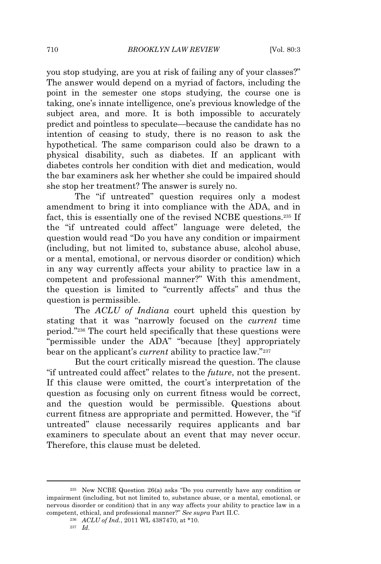you stop studying, are you at risk of failing any of your classes?" The answer would depend on a myriad of factors, including the point in the semester one stops studying, the course one is taking, one's innate intelligence, one's previous knowledge of the subject area, and more. It is both impossible to accurately predict and pointless to speculate—because the candidate has no intention of ceasing to study, there is no reason to ask the hypothetical. The same comparison could also be drawn to a physical disability, such as diabetes. If an applicant with diabetes controls her condition with diet and medication, would the bar examiners ask her whether she could be impaired should she stop her treatment? The answer is surely no.

The "if untreated" question requires only a modest amendment to bring it into compliance with the ADA, and in fact, this is essentially one of the revised NCBE questions.<sup>235</sup> If the "if untreated could affect" language were deleted, the question would read "Do you have any condition or impairment (including, but not limited to, substance abuse, alcohol abuse, or a mental, emotional, or nervous disorder or condition) which in any way currently affects your ability to practice law in a competent and professional manner?" With this amendment, the question is limited to "currently affects" and thus the question is permissible.

The *ACLU of Indiana* court upheld this question by stating that it was "narrowly focused on the *current* time period." <sup>236</sup> The court held specifically that these questions were "permissible under the ADA" "because [they] appropriately bear on the applicant's *current* ability to practice law." 237

But the court critically misread the question. The clause "if untreated could affect" relates to the *future*, not the present. If this clause were omitted, the court's interpretation of the question as focusing only on current fitness would be correct, and the question would be permissible. Questions about current fitness are appropriate and permitted. However, the "if untreated" clause necessarily requires applicants and bar examiners to speculate about an event that may never occur. Therefore, this clause must be deleted.

<sup>235</sup> New NCBE Question 26(a) asks "Do you currently have any condition or impairment (including, but not limited to, substance abuse, or a mental, emotional, or nervous disorder or condition) that in any way affects your ability to practice law in a competent, ethical, and professional manner?" *See supra* Part II.C.

<sup>236</sup> *ACLU of Ind.*, 2011 WL 4387470, at \*10.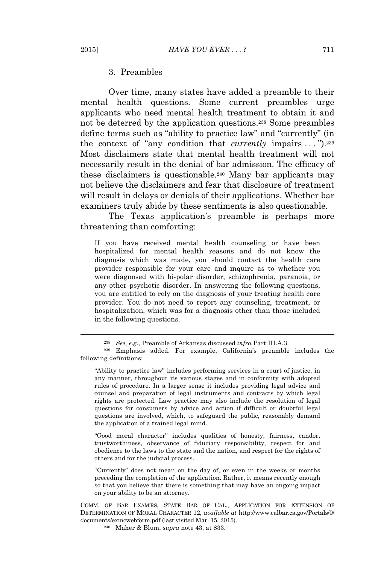#### 3. Preambles

Over time, many states have added a preamble to their mental health questions. Some current preambles urge applicants who need mental health treatment to obtain it and not be deterred by the application questions.<sup>238</sup> Some preambles define terms such as "ability to practice law" and "currently" (in the context of "any condition that *currently* impairs . . . ").<sup>239</sup> Most disclaimers state that mental health treatment will not necessarily result in the denial of bar admission. The efficacy of these disclaimers is questionable.<sup>240</sup> Many bar applicants may not believe the disclaimers and fear that disclosure of treatment will result in delays or denials of their applications. Whether bar examiners truly abide by these sentiments is also questionable.

The Texas application's preamble is perhaps more threatening than comforting:

If you have received mental health counseling or have been hospitalized for mental health reasons and do not know the diagnosis which was made, you should contact the health care provider responsible for your care and inquire as to whether you were diagnosed with bi-polar disorder, schizophrenia, paranoia, or any other psychotic disorder. In answering the following questions, you are entitled to rely on the diagnosis of your treating health care provider. You do not need to report any counseling, treatment, or hospitalization, which was for a diagnosis other than those included in the following questions.

"Good moral character" includes qualities of honesty, fairness, candor, trustworthiness, observance of fiduciary responsibility, respect for and obedience to the laws to the state and the nation, and respect for the rights of others and for the judicial process.

"Currently" does not mean on the day of, or even in the weeks or months preceding the completion of the application. Rather, it means recently enough so that you believe that there is something that may have an ongoing impact on your ability to be an attorney.

COMM. OF BAR EXAM'RS, STATE BAR OF CAL., APPLICATION FOR EXTENSION OF DETERMINATION OF MORAL CHARACTER 12, *available at* http://www.calbar.ca.gov/Portals/0/ documents/exmcwebform.pdf (last visited Mar. 15, 2015).

<sup>240</sup> Maher & Blum, *supra* note 43, at 833.

<sup>238</sup> *See, e.g*., Preamble of Arkansas discussed *infra* Part III.A.3.

<sup>239</sup> Emphasis added. For example, California's preamble includes the following definitions:

<sup>&</sup>quot;Ability to practice law" includes performing services in a court of justice, in any manner, throughout its various stages and in conformity with adopted rules of procedure. In a larger sense it includes providing legal advice and counsel and preparation of legal instruments and contracts by which legal rights are protected. Law practice may also include the resolution of legal questions for consumers by advice and action if difficult or doubtful legal questions are involved, which, to safeguard the public, reasonably demand the application of a trained legal mind.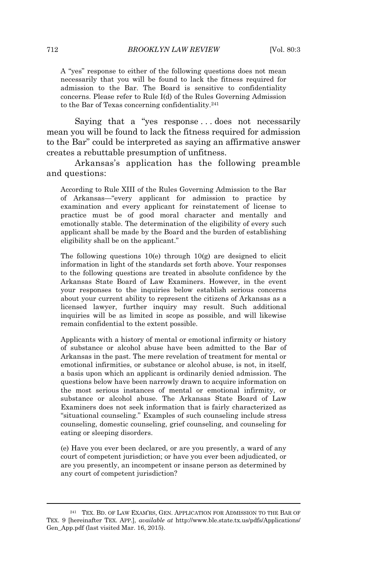A "yes" response to either of the following questions does not mean necessarily that you will be found to lack the fitness required for admission to the Bar. The Board is sensitive to confidentiality concerns. Please refer to Rule I(d) of the Rules Governing Admission to the Bar of Texas concerning confidentiality.<sup>241</sup>

Saying that a "yes response...does not necessarily mean you will be found to lack the fitness required for admission to the Bar" could be interpreted as saying an affirmative answer creates a rebuttable presumption of unfitness.

Arkansas's application has the following preamble and questions:

According to Rule XIII of the Rules Governing Admission to the Bar of Arkansas—"every applicant for admission to practice by examination and every applicant for reinstatement of license to practice must be of good moral character and mentally and emotionally stable. The determination of the eligibility of every such applicant shall be made by the Board and the burden of establishing eligibility shall be on the applicant."

The following questions 10(e) through 10(g) are designed to elicit information in light of the standards set forth above. Your responses to the following questions are treated in absolute confidence by the Arkansas State Board of Law Examiners. However, in the event your responses to the inquiries below establish serious concerns about your current ability to represent the citizens of Arkansas as a licensed lawyer, further inquiry may result. Such additional inquiries will be as limited in scope as possible, and will likewise remain confidential to the extent possible.

Applicants with a history of mental or emotional infirmity or history of substance or alcohol abuse have been admitted to the Bar of Arkansas in the past. The mere revelation of treatment for mental or emotional infirmities, or substance or alcohol abuse, is not, in itself, a basis upon which an applicant is ordinarily denied admission. The questions below have been narrowly drawn to acquire information on the most serious instances of mental or emotional infirmity, or substance or alcohol abuse. The Arkansas State Board of Law Examiners does not seek information that is fairly characterized as "situational counseling." Examples of such counseling include stress counseling, domestic counseling, grief counseling, and counseling for eating or sleeping disorders.

(e) Have you ever been declared, or are you presently, a ward of any court of competent jurisdiction; or have you ever been adjudicated, or are you presently, an incompetent or insane person as determined by any court of competent jurisdiction?

<sup>241</sup> TEX. BD. OF LAW EXAM'RS, GEN. APPLICATION FOR ADMISSION TO THE BAR OF TEX. 9 [hereinafter TEX. APP.], *available at* http://www.ble.state.tx.us/pdfs/Applications/ Gen\_App.pdf (last visited Mar. 16, 2015).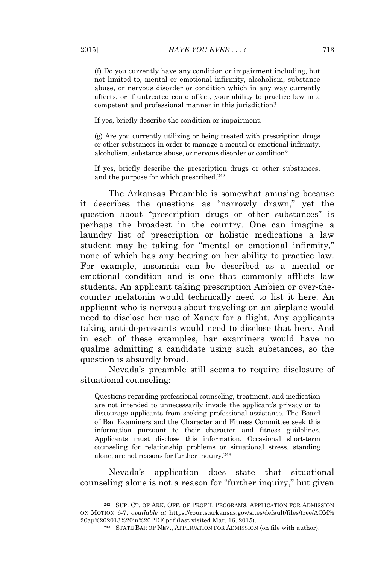(f) Do you currently have any condition or impairment including, but not limited to, mental or emotional infirmity, alcoholism, substance abuse, or nervous disorder or condition which in any way currently affects, or if untreated could affect, your ability to practice law in a competent and professional manner in this jurisdiction?

If yes, briefly describe the condition or impairment.

(g) Are you currently utilizing or being treated with prescription drugs or other substances in order to manage a mental or emotional infirmity, alcoholism, substance abuse, or nervous disorder or condition?

If yes, briefly describe the prescription drugs or other substances, and the purpose for which prescribed.<sup>242</sup>

The Arkansas Preamble is somewhat amusing because it describes the questions as "narrowly drawn," yet the question about "prescription drugs or other substances" is perhaps the broadest in the country. One can imagine a laundry list of prescription or holistic medications a law student may be taking for "mental or emotional infirmity," none of which has any bearing on her ability to practice law. For example, insomnia can be described as a mental or emotional condition and is one that commonly afflicts law students. An applicant taking prescription Ambien or over-thecounter melatonin would technically need to list it here. An applicant who is nervous about traveling on an airplane would need to disclose her use of Xanax for a flight. Any applicants taking anti-depressants would need to disclose that here. And in each of these examples, bar examiners would have no qualms admitting a candidate using such substances, so the question is absurdly broad.

Nevada's preamble still seems to require disclosure of situational counseling:

Questions regarding professional counseling, treatment, and medication are not intended to unnecessarily invade the applicant's privacy or to discourage applicants from seeking professional assistance. The Board of Bar Examiners and the Character and Fitness Committee seek this information pursuant to their character and fitness guidelines. Applicants must disclose this information. Occasional short‐term counseling for relationship problems or situational stress, standing alone, are not reasons for further inquiry.<sup>243</sup>

Nevada's application does state that situational counseling alone is not a reason for "further inquiry," but given

<sup>242</sup> SUP. CT. OF ARK. OFF. OF PROF'<sup>L</sup> PROGRAMS, APPLICATION FOR ADMISSION ON MOTION 6-7, *available at* https://courts.arkansas.gov/sites/default/files/tree/AOM% 20ap%202013%20in%20PDF.pdf (last visited Mar. 16, 2015).

<sup>243</sup> STATE BAR OF NEV., APPLICATION FOR ADMISSION (on file with author).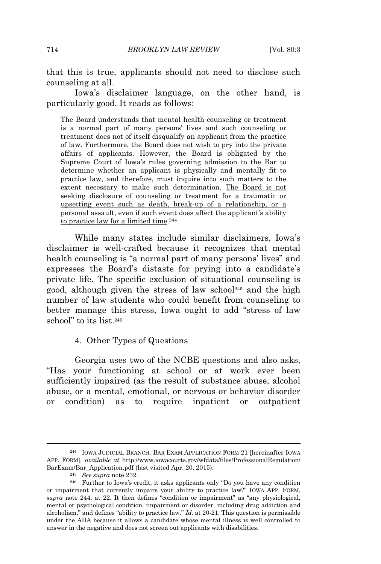that this is true, applicants should not need to disclose such counseling at all.

Iowa's disclaimer language, on the other hand, is particularly good. It reads as follows:

The Board understands that mental health counseling or treatment is a normal part of many persons' lives and such counseling or treatment does not of itself disqualify an applicant from the practice of law. Furthermore, the Board does not wish to pry into the private affairs of applicants. However, the Board is obligated by the Supreme Court of Iowa's rules governing admission to the Bar to determine whether an applicant is physically and mentally fit to practice law, and therefore, must inquire into such matters to the extent necessary to make such determination. The Board is not seeking disclosure of counseling or treatment for a traumatic or upsetting event such as death, break-up of a relationship, or a personal assault, even if such event does affect the applicant's ability to practice law for a limited time.<sup>244</sup>

While many states include similar disclaimers, Iowa's disclaimer is well-crafted because it recognizes that mental health counseling is "a normal part of many persons' lives" and expresses the Board's distaste for prying into a candidate's private life. The specific exclusion of situational counseling is good, although given the stress of law school<sup>245</sup> and the high number of law students who could benefit from counseling to better manage this stress, Iowa ought to add "stress of law school" to its list.<sup>246</sup>

4. Other Types of Questions

Georgia uses two of the NCBE questions and also asks, "Has your functioning at school or at work ever been sufficiently impaired (as the result of substance abuse, alcohol abuse, or a mental, emotional, or nervous or behavior disorder or condition) as to require inpatient or outpatient

<sup>244</sup> IOWA JUDICIAL BRANCH, BAR EXAM APPLICATION FORM 21 [hereinafter IOWA APP. FORM], *available at* http://www.iowacourts.gov/wfdata/files/ProfessionalRegulation/ BarExam/Bar\_Application.pdf (last visited Apr. 20, 2015).

<sup>245</sup> *See supra* note 232.

<sup>246</sup> Further to Iowa's credit, it asks applicants only "Do you have any condition or impairment that currently impairs your ability to practice law?" IOWA APP. FORM, *supra* note 244, at 22. It then defines "condition or impairment" as "any physiological, mental or psychological condition, impairment or disorder, including drug addiction and alcoholism," and defines "ability to practice law." *Id.* at 20-21. This question is permissible under the ADA because it allows a candidate whose mental illness is well controlled to answer in the negative and does not screen out applicants with disabilities.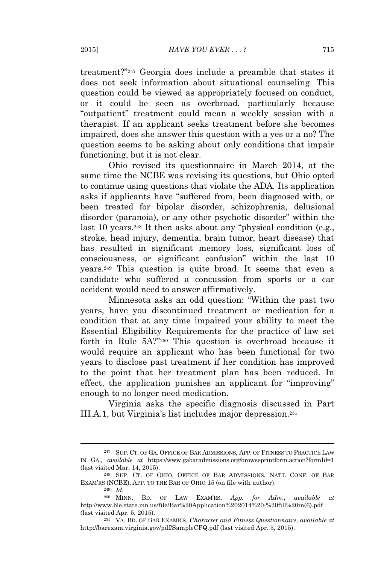treatment?" <sup>247</sup> Georgia does include a preamble that states it does not seek information about situational counseling. This question could be viewed as appropriately focused on conduct, or it could be seen as overbroad, particularly because "outpatient" treatment could mean a weekly session with a therapist. If an applicant seeks treatment before she becomes impaired, does she answer this question with a yes or a no? The question seems to be asking about only conditions that impair functioning, but it is not clear.

Ohio revised its questionnaire in March 2014, at the same time the NCBE was revising its questions, but Ohio opted to continue using questions that violate the ADA. Its application asks if applicants have "suffered from, been diagnosed with, or been treated for bipolar disorder, schizophrenia, delusional disorder (paranoia), or any other psychotic disorder" within the last 10 years.<sup>248</sup> It then asks about any "physical condition (e.g., stroke, head injury, dementia, brain tumor, heart disease) that has resulted in significant memory loss, significant loss of consciousness, or significant confusion" within the last 10 years.<sup>249</sup> This question is quite broad. It seems that even a candidate who suffered a concussion from sports or a car accident would need to answer affirmatively.

Minnesota asks an odd question: "Within the past two years, have you discontinued treatment or medication for a condition that at any time impaired your ability to meet the Essential Eligibility Requirements for the practice of law set forth in Rule 5A?"<sup>250</sup> This question is overbroad because it would require an applicant who has been functional for two years to disclose past treatment if her condition has improved to the point that her treatment plan has been reduced. In effect, the application punishes an applicant for "improving" enough to no longer need medication.

Virginia asks the specific diagnosis discussed in Part III.A.1, but Virginia's list includes major depression.<sup>251</sup>

<sup>&</sup>lt;sup>247</sup> SUP. CT. OF GA. OFFICE OF BAR ADMISSIONS, APP. OF FITNESS TO PRACTICE LAW IN GA., *available at* https://www.gabaradmissions.org/browseprintform.action?formId=1 (last visited Mar. 14, 2015).

<sup>248</sup> SUP. CT. OF OHIO, OFFICE OF BAR ADMISSIONS, NAT'<sup>L</sup> CONF. OF BAR EXAM'RS (NCBE), APP. TO THE BAR OF OHIO 15 (on file with author).

<sup>249</sup> *Id.*

<sup>250</sup> MINN. BD. OF LAW EXAM'RS, *App. for Adm*., *available at* http://www.ble.state.mn.us/file/Bar%20Application%202014%20-%20fill%20in(6).pdf (last visited Apr. 5, 2015).

<sup>251</sup> VA. BD. OF BAR EXAMR'S, *Character and Fitness Questionnaire*, *available at* http://barexam.virginia.gov/pdf/SampleCFQ.pdf (last visited Apr. 5, 2015).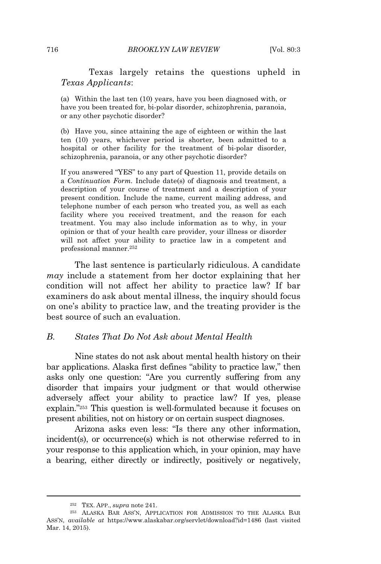Texas largely retains the questions upheld in *Texas Applicants*:

(a) Within the last ten (10) years, have you been diagnosed with, or have you been treated for, bi-polar disorder, schizophrenia, paranoia, or any other psychotic disorder?

(b) Have you, since attaining the age of eighteen or within the last ten (10) years, whichever period is shorter, been admitted to a hospital or other facility for the treatment of bi-polar disorder, schizophrenia, paranoia, or any other psychotic disorder?

If you answered "YES" to any part of Question 11, provide details on a *Continuation Form.* Include date(s) of diagnosis and treatment, a description of your course of treatment and a description of your present condition. Include the name, current mailing address, and telephone number of each person who treated you, as well as each facility where you received treatment, and the reason for each treatment. You may also include information as to why, in your opinion or that of your health care provider, your illness or disorder will not affect your ability to practice law in a competent and professional manner.<sup>252</sup>

The last sentence is particularly ridiculous. A candidate *may* include a statement from her doctor explaining that her condition will not affect her ability to practice law? If bar examiners do ask about mental illness, the inquiry should focus on one's ability to practice law, and the treating provider is the best source of such an evaluation.

## *B. States That Do Not Ask about Mental Health*

Nine states do not ask about mental health history on their bar applications. Alaska first defines "ability to practice law," then asks only one question: "Are you currently suffering from any disorder that impairs your judgment or that would otherwise adversely affect your ability to practice law? If yes, please explain." <sup>253</sup> This question is well-formulated because it focuses on present abilities, not on history or on certain suspect diagnoses.

Arizona asks even less: "Is there any other information, incident(s), or occurrence(s) which is not otherwise referred to in your response to this application which, in your opinion, may have a bearing, either directly or indirectly, positively or negatively,

<sup>252</sup> TEX. APP., *supra* note 241.

<sup>253</sup> ALASKA BAR ASS'N, APPLICATION FOR ADMISSION TO THE ALASKA BAR ASS'N, *available at* https://www.alaskabar.org/servlet/download?id=1486 (last visited Mar. 14, 2015).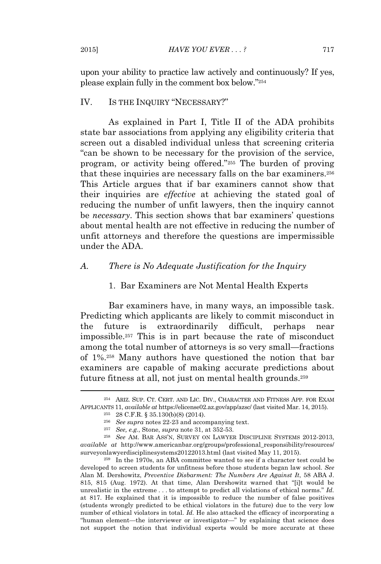upon your ability to practice law actively and continuously? If yes, please explain fully in the comment box below." 254

## IV. IS THE INQUIRY "NECESSARY?"

As explained in Part I, Title II of the ADA prohibits state bar associations from applying any eligibility criteria that screen out a disabled individual unless that screening criteria "can be shown to be necessary for the provision of the service, program, or activity being offered." <sup>255</sup> The burden of proving that these inquiries are necessary falls on the bar examiners.<sup>256</sup> This Article argues that if bar examiners cannot show that their inquiries are *effective* at achieving the stated goal of reducing the number of unfit lawyers, then the inquiry cannot be *necessary*. This section shows that bar examiners' questions about mental health are not effective in reducing the number of unfit attorneys and therefore the questions are impermissible under the ADA.

## *A. There is No Adequate Justification for the Inquiry*

#### 1. Bar Examiners are Not Mental Health Experts

Bar examiners have, in many ways, an impossible task. Predicting which applicants are likely to commit misconduct in the future is extraordinarily difficult, perhaps near impossible.<sup>257</sup> This is in part because the rate of misconduct among the total number of attorneys is so very small—fractions of 1%.<sup>258</sup> Many authors have questioned the notion that bar examiners are capable of making accurate predictions about future fitness at all, not just on mental health grounds.<sup>259</sup>

<sup>259</sup> In the 1970s, an ABA committee wanted to see if a character test could be developed to screen students for unfitness before those students began law school. *See* Alan M. Dershowitz, *Preventive Disbarment: The Numbers Are Against It*, 58 ABA J. 815, 815 (Aug. 1972). At that time, Alan Dershowitz warned that "[i]t would be unrealistic in the extreme . . . to attempt to predict all violations of ethical norms." *Id.* at 817. He explained that it is impossible to reduce the number of false positives (students wrongly predicted to be ethical violators in the future) due to the very low number of ethical violators in total. *Id.* He also attacked the efficacy of incorporating a "human element—the interviewer or investigator—" by explaining that science does not support the notion that individual experts would be more accurate at these

<sup>254</sup> ARIZ. SUP. CT. CERT. AND LIC. DIV., CHARACTER AND FITNESS APP. FOR EXAM APPLICANTS 11, *available at* https://elicense02.az.gov/app/azsc/ (last visited Mar. 14, 2015).

<sup>255</sup> 28 C.F.R. § 35.130(b)(8) (2014).

<sup>256</sup> *See supra* notes 22-23 and accompanying text.

<sup>257</sup> *See, e.g.*, Stone, *supra* note 31, at 352-53.

<sup>258</sup> *See* AM. BAR ASS'N, SURVEY ON LAWYER DISCIPLINE SYSTEMS 2012-2013, *available at* http://www.americanbar.org/groups/professional\_responsibility/resources/ surveyonlawyerdisciplinesystems20122013.html (last visited May 11, 2015).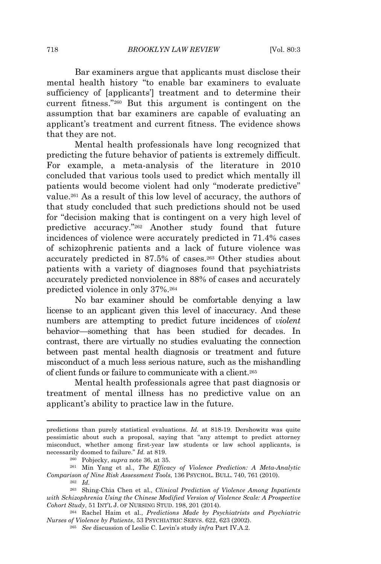Bar examiners argue that applicants must disclose their mental health history "to enable bar examiners to evaluate sufficiency of [applicants'] treatment and to determine their current fitness." <sup>260</sup> But this argument is contingent on the assumption that bar examiners are capable of evaluating an applicant's treatment and current fitness. The evidence shows that they are not.

Mental health professionals have long recognized that predicting the future behavior of patients is extremely difficult. For example, a meta-analysis of the literature in 2010 concluded that various tools used to predict which mentally ill patients would become violent had only "moderate predictive" value.<sup>261</sup> As a result of this low level of accuracy, the authors of that study concluded that such predictions should not be used for "decision making that is contingent on a very high level of predictive accuracy." <sup>262</sup> Another study found that future incidences of violence were accurately predicted in 71.4% cases of schizophrenic patients and a lack of future violence was accurately predicted in 87.5% of cases.<sup>263</sup> Other studies about patients with a variety of diagnoses found that psychiatrists accurately predicted nonviolence in 88% of cases and accurately predicted violence in only 37%.<sup>264</sup>

No bar examiner should be comfortable denying a law license to an applicant given this level of inaccuracy. And these numbers are attempting to predict future incidences of *violent* behavior—something that has been studied for decades. In contrast, there are virtually no studies evaluating the connection between past mental health diagnosis or treatment and future misconduct of a much less serious nature, such as the mishandling of client funds or failure to communicate with a client.<sup>265</sup>

Mental health professionals agree that past diagnosis or treatment of mental illness has no predictive value on an applicant's ability to practice law in the future.

predictions than purely statistical evaluations. *Id.* at 818-19. Dershowitz was quite pessimistic about such a proposal, saying that "any attempt to predict attorney misconduct, whether among first-year law students or law school applicants, is necessarily doomed to failure." *Id.* at 819.

<sup>260</sup> Pobjecky, *supra* note 36, at 35.

<sup>261</sup> Min Yang et al., *The Efficacy of Violence Prediction: A Meta-Analytic Comparison of Nine Risk Assessment Tools*, 136 PSYCHOL. BULL. 740, 761 (2010).

<sup>262</sup> *Id.*

<sup>263</sup> Shing-Chia Chen et al., *Clinical Prediction of Violence Among Inpatients with Schizophrenia Using the Chinese Modified Version of Violence Scale: A Prospective Cohort Study*, 51 INT'<sup>L</sup> J. OF NURSING STUD. 198, 201 (2014).

<sup>264</sup> Rachel Haim et al., *Predictions Made by Psychiatrists and Psychiatric Nurses of Violence by Patients*, 53 PSYCHIATRIC SERVS. 622, 623 (2002).

<sup>265</sup> *See* discussion of Leslie C. Levin's study *infra* Part IV.A.2.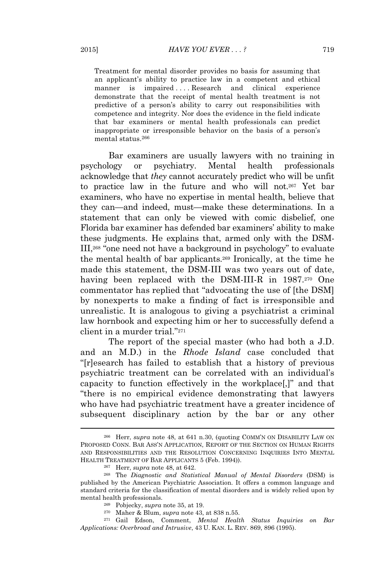Treatment for mental disorder provides no basis for assuming that an applicant's ability to practice law in a competent and ethical manner is impaired ... . Research and clinical experience demonstrate that the receipt of mental health treatment is not predictive of a person's ability to carry out responsibilities with competence and integrity. Nor does the evidence in the field indicate that bar examiners or mental health professionals can predict inappropriate or irresponsible behavior on the basis of a person's mental status.<sup>266</sup>

Bar examiners are usually lawyers with no training in psychology or psychiatry. Mental health professionals acknowledge that *they* cannot accurately predict who will be unfit to practice law in the future and who will not.<sup>267</sup> Yet bar examiners, who have no expertise in mental health, believe that they can—and indeed, must—make these determinations. In a statement that can only be viewed with comic disbelief, one Florida bar examiner has defended bar examiners' ability to make these judgments. He explains that, armed only with the DSM-III,<sup>268</sup> "one need not have a background in psychology" to evaluate the mental health of bar applicants.<sup>269</sup> Ironically, at the time he made this statement, the DSM-III was two years out of date, having been replaced with the DSM-III-R in 1987.<sup>270</sup> One commentator has replied that "advocating the use of [the DSM] by nonexperts to make a finding of fact is irresponsible and unrealistic. It is analogous to giving a psychiatrist a criminal law hornbook and expecting him or her to successfully defend a client in a murder trial." 271

The report of the special master (who had both a J.D. and an M.D.) in the *Rhode Island* case concluded that "[r]esearch has failed to establish that a history of previous psychiatric treatment can be correlated with an individual's capacity to function effectively in the workplace[,]" and that "there is no empirical evidence demonstrating that lawyers who have had psychiatric treatment have a greater incidence of subsequent disciplinary action by the bar or any other

<sup>266</sup> Herr, *supra* note 48, at 641 n.30, (quoting COMM'N ON DISABILITY LAW ON PROPOSED CONN. BAR ASS'<sup>N</sup> APPLICATION, REPORT OF THE SECTION ON HUMAN RIGHTS AND RESPONSIBILITIES AND THE RESOLUTION CONCERNING INQUIRIES INTO MENTAL HEALTH TREATMENT OF BAR APPLICANTS 5 (Feb. 1994)).

<sup>267</sup> Herr, *supra* note 48, at 642.

<sup>268</sup> The *Diagnostic and Statistical Manual of Mental Disorders* (DSM) is published by the American Psychiatric Association. It offers a common language and standard criteria for the classification of mental disorders and is widely relied upon by mental health professionals.

<sup>269</sup> Pobjecky, *supra* note 35, at 19.

<sup>270</sup> Maher & Blum, *supra* note 43, at 838 n.55.

<sup>271</sup> Gail Edson, Comment, *Mental Health Status Inquiries on Bar Applications: Overbroad and Intrusive*, 43 U. KAN. L. REV. 869, 896 (1995).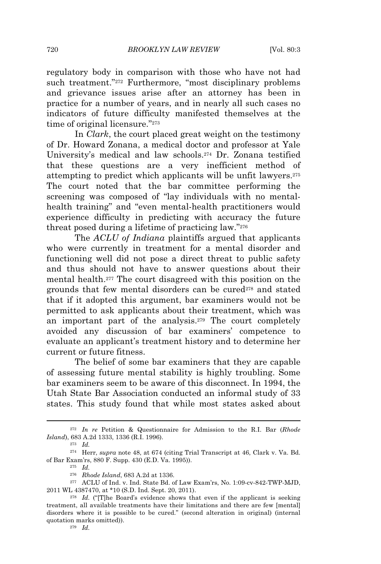regulatory body in comparison with those who have not had such treatment."<sup>272</sup> Furthermore, "most disciplinary problems and grievance issues arise after an attorney has been in practice for a number of years, and in nearly all such cases no indicators of future difficulty manifested themselves at the time of original licensure."<sup>273</sup>

In *Clark*, the court placed great weight on the testimony of Dr. Howard Zonana, a medical doctor and professor at Yale University's medical and law schools.<sup>274</sup> Dr. Zonana testified that these questions are a very inefficient method of attempting to predict which applicants will be unfit lawyers.<sup>275</sup> The court noted that the bar committee performing the screening was composed of "lay individuals with no mentalhealth training" and "even mental-health practitioners would experience difficulty in predicting with accuracy the future threat posed during a lifetime of practicing law."<sup>276</sup>

The *ACLU of Indiana* plaintiffs argued that applicants who were currently in treatment for a mental disorder and functioning well did not pose a direct threat to public safety and thus should not have to answer questions about their mental health.<sup>277</sup> The court disagreed with this position on the grounds that few mental disorders can be cured<sup>278</sup> and stated that if it adopted this argument, bar examiners would not be permitted to ask applicants about their treatment, which was an important part of the analysis.<sup>279</sup> The court completely avoided any discussion of bar examiners' competence to evaluate an applicant's treatment history and to determine her current or future fitness.

The belief of some bar examiners that they are capable of assessing future mental stability is highly troubling. Some bar examiners seem to be aware of this disconnect. In 1994, the Utah State Bar Association conducted an informal study of 33 states. This study found that while most states asked about

<sup>272</sup> *In re* Petition & Questionnaire for Admission to the R.I. Bar (*Rhode Island*), 683 A.2d 1333, 1336 (R.I. 1996).

<sup>273</sup> *Id.*

<sup>274</sup> Herr, *supra* note 48, at 674 (citing Trial Transcript at 46, Clark v. Va. Bd. of Bar Exam'rs, 880 F. Supp. 430 (E.D. Va. 1995)).

<sup>275</sup> *Id.*

<sup>276</sup> *Rhode Island*, 683 A.2d at 1336.

<sup>277</sup> ACLU of Ind. v. Ind. State Bd. of Law Exam'rs, No. 1:09-cv-842-TWP-MJD, 2011 WL 4387470, at \*10 (S.D. Ind. Sept. 20, 2011).

<sup>278</sup> *Id.* ("[T]he Board's evidence shows that even if the applicant is seeking treatment, all available treatments have their limitations and there are few [mental] disorders where it is possible to be cured." (second alteration in original) (internal quotation marks omitted)).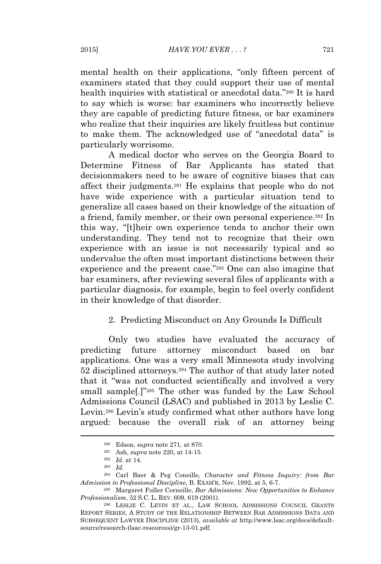mental health on their applications, "only fifteen percent of examiners stated that they could support their use of mental health inquiries with statistical or anecdotal data." <sup>280</sup> It is hard to say which is worse: bar examiners who incorrectly believe they are capable of predicting future fitness, or bar examiners who realize that their inquiries are likely fruitless but continue to make them. The acknowledged use of "anecdotal data" is particularly worrisome.

A medical doctor who serves on the Georgia Board to Determine Fitness of Bar Applicants has stated that decisionmakers need to be aware of cognitive biases that can affect their judgments.<sup>281</sup> He explains that people who do not have wide experience with a particular situation tend to generalize all cases based on their knowledge of the situation of a friend, family member, or their own personal experience.<sup>282</sup> In this way, "[t]heir own experience tends to anchor their own understanding. They tend not to recognize that their own experience with an issue is not necessarily typical and so undervalue the often most important distinctions between their experience and the present case."<sup>283</sup> One can also imagine that bar examiners, after reviewing several files of applicants with a particular diagnosis, for example, begin to feel overly confident in their knowledge of that disorder.

#### 2. Predicting Misconduct on Any Grounds Is Difficult

Only two studies have evaluated the accuracy of predicting future attorney misconduct based on bar applications. One was a very small Minnesota study involving 52 disciplined attorneys.<sup>284</sup> The author of that study later noted that it "was not conducted scientifically and involved a very small sample[.]" <sup>285</sup> The other was funded by the Law School Admissions Council (LSAC) and published in 2013 by Leslie C. Levin.<sup>286</sup> Levin's study confirmed what other authors have long argued: because the overall risk of an attorney being

<sup>280</sup> Edson, *supra* note 271, at 870.

<sup>281</sup> Ash, *supra* note 220, at 14-15.

<sup>282</sup> *Id.* at 14.

<sup>283</sup> *Id.*

<sup>284</sup> Carl Baer & Peg Coneille, *Character and Fitness Inquiry: from Bar Admission to Professional Discipline*, B. EXAM'R, Nov. 1992, at 5, 6-7.

<sup>285</sup> Margaret Fuller Corneille, *Bar Admissions: New Opportunities to Enhance Professionalism*, 52 S.C. L. REV. 609, 619 (2001).

<sup>286</sup> LESLIE C. LEVIN ET AL., LAW SCHOOL ADMISSIONS COUNCIL GRANTS REPORT SERIES, A STUDY OF THE RELATIONSHIP BETWEEN BAR ADMISSIONS DATA AND SUBSEQUENT LAWYER DISCIPLINE (2013), *available at* http://www.lsac.org/docs/defaultsource/research-(lsac-resources)/gr-13-01.pdf.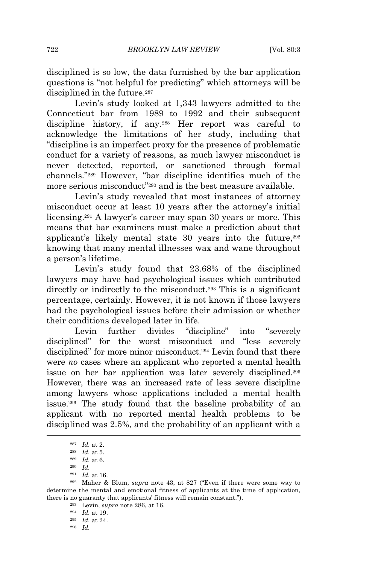disciplined is so low, the data furnished by the bar application questions is "not helpful for predicting" which attorneys will be disciplined in the future.<sup>287</sup>

Levin's study looked at 1,343 lawyers admitted to the Connecticut bar from 1989 to 1992 and their subsequent discipline history, if any.<sup>288</sup> Her report was careful to acknowledge the limitations of her study, including that "discipline is an imperfect proxy for the presence of problematic conduct for a variety of reasons, as much lawyer misconduct is never detected, reported, or sanctioned through formal channels." <sup>289</sup> However, "bar discipline identifies much of the more serious misconduct" <sup>290</sup> and is the best measure available.

Levin's study revealed that most instances of attorney misconduct occur at least 10 years after the attorney's initial licensing.<sup>291</sup> A lawyer's career may span 30 years or more. This means that bar examiners must make a prediction about that applicant's likely mental state 30 years into the future,<sup>292</sup> knowing that many mental illnesses wax and wane throughout a person's lifetime.

Levin's study found that 23.68% of the disciplined lawyers may have had psychological issues which contributed directly or indirectly to the misconduct.<sup>293</sup> This is a significant percentage, certainly. However, it is not known if those lawyers had the psychological issues before their admission or whether their conditions developed later in life.

Levin further divides "discipline" into "severely disciplined" for the worst misconduct and "less severely disciplined" for more minor misconduct.<sup>294</sup> Levin found that there were *no* cases where an applicant who reported a mental health issue on her bar application was later severely disciplined.<sup>295</sup> However, there was an increased rate of less severe discipline among lawyers whose applications included a mental health issue.<sup>296</sup> The study found that the baseline probability of an applicant with no reported mental health problems to be disciplined was 2.5%, and the probability of an applicant with a

<sup>296</sup> *Id.*

<sup>287</sup> *Id.* at 2.

<sup>288</sup> *Id.* at 5.

<sup>289</sup> *Id.* at 6.

<sup>290</sup> *Id.*

<sup>291</sup> *Id.* at 16.

<sup>292</sup> Maher & Blum, *supra* note 43, at 827 ("Even if there were some way to determine the mental and emotional fitness of applicants at the time of application, there is no guaranty that applicants' fitness will remain constant.").

<sup>293</sup> Levin, *supra* note 286, at 16.

<sup>294</sup> *Id.* at 19.

<sup>295</sup> *Id.* at 24.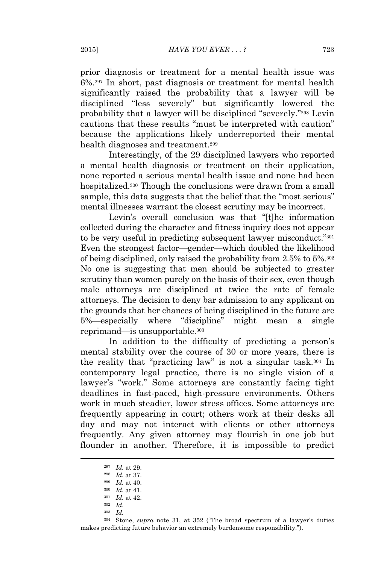prior diagnosis or treatment for a mental health issue was 6%.<sup>297</sup> In short, past diagnosis or treatment for mental health significantly raised the probability that a lawyer will be disciplined "less severely" but significantly lowered the probability that a lawyer will be disciplined "severely." <sup>298</sup> Levin cautions that these results "must be interpreted with caution" because the applications likely underreported their mental health diagnoses and treatment.<sup>299</sup>

Interestingly, of the 29 disciplined lawyers who reported a mental health diagnosis or treatment on their application, none reported a serious mental health issue and none had been hospitalized.<sup>300</sup> Though the conclusions were drawn from a small sample, this data suggests that the belief that the "most serious" mental illnesses warrant the closest scrutiny may be incorrect.

Levin's overall conclusion was that "[t]he information collected during the character and fitness inquiry does not appear to be very useful in predicting subsequent lawyer misconduct."<sup>301</sup> Even the strongest factor—gender—which doubled the likelihood of being disciplined, only raised the probability from 2.5% to 5%.<sup>302</sup> No one is suggesting that men should be subjected to greater scrutiny than women purely on the basis of their sex, even though male attorneys are disciplined at twice the rate of female attorneys. The decision to deny bar admission to any applicant on the grounds that her chances of being disciplined in the future are 5%—especially where "discipline" might mean a single reprimand—is unsupportable.<sup>303</sup>

In addition to the difficulty of predicting a person's mental stability over the course of 30 or more years, there is the reality that "practicing law" is not a singular task.<sup>304</sup> In contemporary legal practice, there is no single vision of a lawyer's "work." Some attorneys are constantly facing tight deadlines in fast-paced, high-pressure environments. Others work in much steadier, lower stress offices. Some attorneys are frequently appearing in court; others work at their desks all day and may not interact with clients or other attorneys frequently. Any given attorney may flourish in one job but flounder in another. Therefore, it is impossible to predict

<sup>297</sup> *Id.* at 29.

<sup>298</sup> *Id.* at 37.

<sup>299</sup> *Id.* at 40.

<sup>300</sup> *Id.* at 41.

<sup>301</sup> *Id.* at 42.

<sup>302</sup> *Id.*

<sup>303</sup> *Id.*

<sup>304</sup> Stone, *supra* note 31, at 352 ("The broad spectrum of a lawyer's duties makes predicting future behavior an extremely burdensome responsibility.").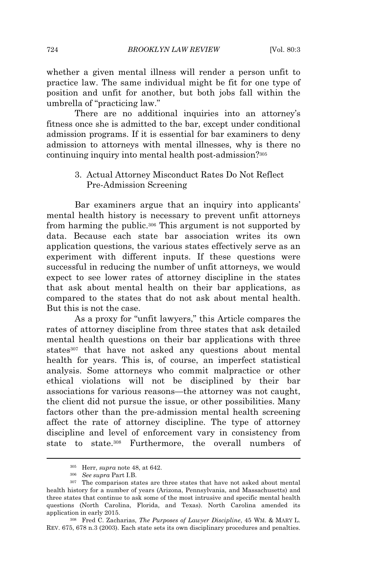whether a given mental illness will render a person unfit to practice law. The same individual might be fit for one type of position and unfit for another, but both jobs fall within the umbrella of "practicing law."

There are no additional inquiries into an attorney's fitness once she is admitted to the bar, except under conditional admission programs. If it is essential for bar examiners to deny admission to attorneys with mental illnesses, why is there no continuing inquiry into mental health post-admission?<sup>305</sup>

> 3. Actual Attorney Misconduct Rates Do Not Reflect Pre-Admission Screening

Bar examiners argue that an inquiry into applicants' mental health history is necessary to prevent unfit attorneys from harming the public.<sup>306</sup> This argument is not supported by data. Because each state bar association writes its own application questions, the various states effectively serve as an experiment with different inputs. If these questions were successful in reducing the number of unfit attorneys, we would expect to see lower rates of attorney discipline in the states that ask about mental health on their bar applications, as compared to the states that do not ask about mental health. But this is not the case.

As a proxy for "unfit lawyers," this Article compares the rates of attorney discipline from three states that ask detailed mental health questions on their bar applications with three states<sup>307</sup> that have not asked any questions about mental health for years. This is, of course, an imperfect statistical analysis. Some attorneys who commit malpractice or other ethical violations will not be disciplined by their bar associations for various reasons—the attorney was not caught, the client did not pursue the issue, or other possibilities. Many factors other than the pre-admission mental health screening affect the rate of attorney discipline. The type of attorney discipline and level of enforcement vary in consistency from state to state.<sup>308</sup> Furthermore, the overall numbers of

<sup>305</sup> Herr, *supra* note 48, at 642.

<sup>306</sup> *See supra* Part I.B.

<sup>307</sup> The comparison states are three states that have not asked about mental health history for a number of years (Arizona, Pennsylvania, and Massachusetts) and three states that continue to ask some of the most intrusive and specific mental health questions (North Carolina, Florida, and Texas). North Carolina amended its application in early 2015.

<sup>308</sup> Fred C. Zacharias, *The Purposes of Lawyer Discipline*, 45 WM. & MARY L. REV. 675, 678 n.3 (2003). Each state sets its own disciplinary procedures and penalties.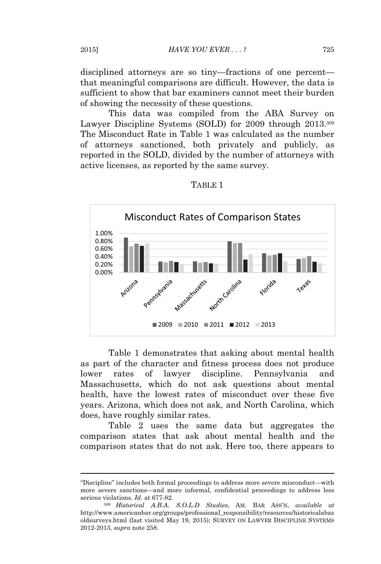disciplined attorneys are so tiny—fractions of one percent that meaningful comparisons are difficult. However, the data is sufficient to show that bar examiners cannot meet their burden of showing the necessity of these questions.

This data was compiled from the ABA Survey on Lawyer Discipline Systems (SOLD) for 2009 through 2013.<sup>309</sup> The Misconduct Rate in Table 1 was calculated as the number of attorneys sanctioned, both privately and publicly, as reported in the SOLD, divided by the number of attorneys with active licenses, as reported by the same survey.



#### TABLE 1

Table 1 demonstrates that asking about mental health as part of the character and fitness process does not produce lower rates of lawyer discipline. Pennsylvania and Massachusetts, which do not ask questions about mental health, have the lowest rates of misconduct over these five years. Arizona, which does not ask, and North Carolina, which does, have roughly similar rates.

Table 2 uses the same data but aggregates the comparison states that ask about mental health and the comparison states that do not ask. Here too, there appears to

<sup>&</sup>quot;Discipline" includes both formal proceedings to address more severe misconduct—with more severe sanctions—and more informal, confidential proceedings to address less serious violations. *Id.* at 677-82.

<sup>309</sup> *Historical A.B.A. S.O.L.D Studies*, AM. BAR ASS'N, *available at* http://www.americanbar.org/groups/professional\_responsibility/resources/historicalabas oldsurveys.html (last visited May 19, 2015); SURVEY ON LAWYER DISCIPLINE SYSTEMS 2012-2013, *supra* note 258.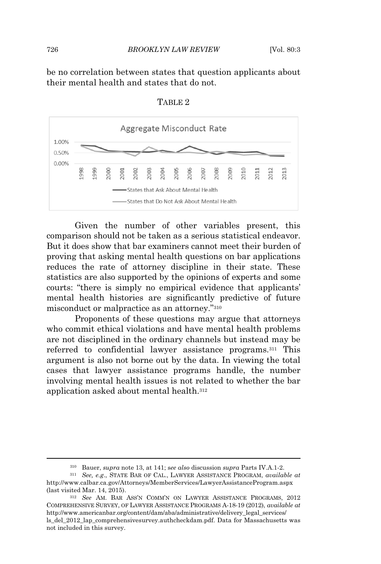be no correlation between states that question applicants about their mental health and states that do not.



TABLE 2

Given the number of other variables present, this comparison should not be taken as a serious statistical endeavor. But it does show that bar examiners cannot meet their burden of proving that asking mental health questions on bar applications reduces the rate of attorney discipline in their state. These statistics are also supported by the opinions of experts and some courts: "there is simply no empirical evidence that applicants' mental health histories are significantly predictive of future misconduct or malpractice as an attorney." 310

Proponents of these questions may argue that attorneys who commit ethical violations and have mental health problems are not disciplined in the ordinary channels but instead may be referred to confidential lawyer assistance programs.<sup>311</sup> This argument is also not borne out by the data. In viewing the total cases that lawyer assistance programs handle, the number involving mental health issues is not related to whether the bar application asked about mental health.<sup>312</sup>

<sup>310</sup> Bauer, *supra* note 13, at 141; s*ee also* discussion *supra* Parts IV.A.1-2.

<sup>311</sup> *See, e.g*., STATE BAR OF CAL., LAWYER ASSISTANCE PROGRAM, *available at* http://www.calbar.ca.gov/Attorneys/MemberServices/LawyerAssistanceProgram.aspx (last visited Mar. 14, 2015).

<sup>312</sup> *See* AM. BAR ASS'<sup>N</sup> COMM'N ON LAWYER ASSISTANCE PROGRAMS, 2012 COMPREHENSIVE SURVEY, OF LAWYER ASSISTANCE PROGRAMS A-18-19 (2012), *available at* http://www.americanbar.org/content/dam/aba/administrative/delivery\_legal\_services/ ls\_del\_2012\_lap\_comprehensivesurvey.authcheckdam.pdf. Data for Massachusetts was not included in this survey.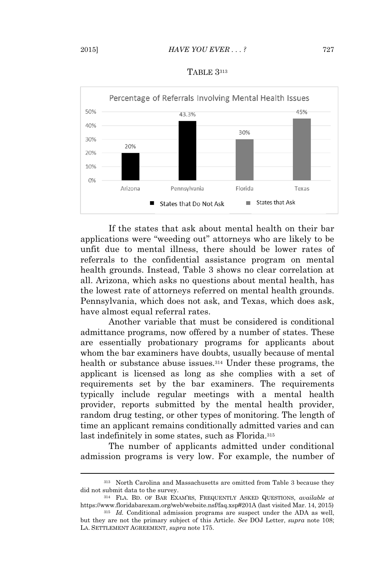



If the states that ask about mental health on their bar applications were "weeding out" attorneys who are likely to be unfit due to mental illness, there should be lower rates of referrals to the confidential assistance program on mental health grounds. Instead, Table 3 shows no clear correlation at all. Arizona, which asks no questions about mental health, has the lowest rate of attorneys referred on mental health grounds. Pennsylvania, which does not ask, and Texas, which does ask, have almost equal referral rates.

Another variable that must be considered is conditional admittance programs, now offered by a number of states. These are essentially probationary programs for applicants about whom the bar examiners have doubts, usually because of mental health or substance abuse issues.<sup>314</sup> Under these programs, the applicant is licensed as long as she complies with a set of requirements set by the bar examiners. The requirements typically include regular meetings with a mental health provider, reports submitted by the mental health provider, random drug testing, or other types of monitoring. The length of time an applicant remains conditionally admitted varies and can last indefinitely in some states, such as Florida.<sup>315</sup>

The number of applicants admitted under conditional admission programs is very low. For example, the number of

<sup>313</sup> North Carolina and Massachusetts are omitted from Table 3 because they did not submit data to the survey.

<sup>314</sup> FLA. BD. OF BAR EXAM'RS, FREQUENTLY ASKED QUESTIONS, *available at* https://www.floridabarexam.org/web/website.nsf/faq.xsp#201A (last visited Mar. 14, 2015)

<sup>315</sup> *Id.* Conditional admission programs are suspect under the ADA as well, but they are not the primary subject of this Article. *See* DOJ Letter, *supra* note 108; LA. SETTLEMENT AGREEMENT, *supra* note 175.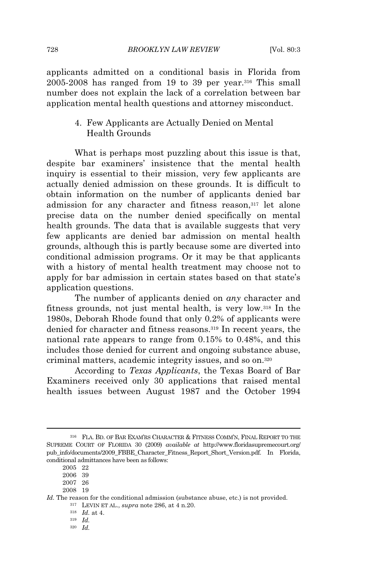applicants admitted on a conditional basis in Florida from 2005-2008 has ranged from 19 to 39 per year.<sup>316</sup> This small number does not explain the lack of a correlation between bar application mental health questions and attorney misconduct.

> 4. Few Applicants are Actually Denied on Mental Health Grounds

What is perhaps most puzzling about this issue is that, despite bar examiners' insistence that the mental health inquiry is essential to their mission, very few applicants are actually denied admission on these grounds. It is difficult to obtain information on the number of applicants denied bar admission for any character and fitness reason,<sup>317</sup> let alone precise data on the number denied specifically on mental health grounds. The data that is available suggests that very few applicants are denied bar admission on mental health grounds, although this is partly because some are diverted into conditional admission programs. Or it may be that applicants with a history of mental health treatment may choose not to apply for bar admission in certain states based on that state's application questions.

The number of applicants denied on *any* character and fitness grounds, not just mental health, is very low.<sup>318</sup> In the 1980s, Deborah Rhode found that only 0.2% of applicants were denied for character and fitness reasons.<sup>319</sup> In recent years, the national rate appears to range from 0.15% to 0.48%, and this includes those denied for current and ongoing substance abuse, criminal matters, academic integrity issues, and so on.<sup>320</sup>

According to *Texas Applicants*, the Texas Board of Bar Examiners received only 30 applications that raised mental health issues between August 1987 and the October 1994

<sup>316</sup> FLA. BD. OF BAR EXAM'RS CHARACTER & FITNESS COMM'N, FINAL REPORT TO THE SUPREME COURT OF FLORIDA 30 (2009) *available at* http://www.floridasupremecourt.org/ pub\_info/documents/2009\_FBBE\_Character\_Fitness\_Report\_Short\_Version.pdf. In Florida, conditional admittances have been as follows:

<sup>2005 22</sup>

<sup>2006 39</sup>

<sup>2007 26</sup> 2008 19

Id. The reason for the conditional admission (substance abuse, etc.) is not provided.

<sup>317</sup> LEVIN ET AL., *supra* note 286, at 4 n.20.

<sup>318</sup> *Id.* at 4.

<sup>319</sup> *Id.* <sup>320</sup> *Id.*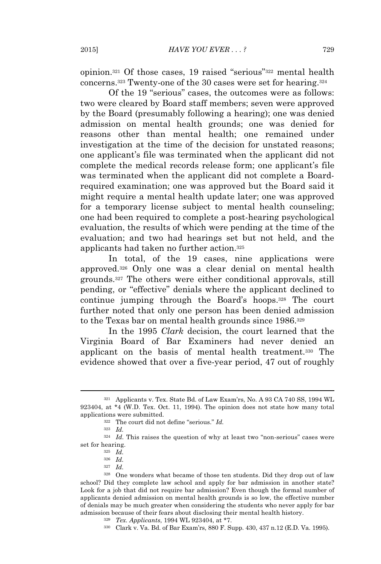opinion.<sup>321</sup> Of those cases, 19 raised "serious" <sup>322</sup> mental health concerns.<sup>323</sup> Twenty-one of the 30 cases were set for hearing.<sup>324</sup>

Of the 19 "serious" cases, the outcomes were as follows: two were cleared by Board staff members; seven were approved by the Board (presumably following a hearing); one was denied admission on mental health grounds; one was denied for reasons other than mental health; one remained under investigation at the time of the decision for unstated reasons; one applicant's file was terminated when the applicant did not complete the medical records release form; one applicant's file was terminated when the applicant did not complete a Boardrequired examination; one was approved but the Board said it might require a mental health update later; one was approved for a temporary license subject to mental health counseling; one had been required to complete a post-hearing psychological evaluation, the results of which were pending at the time of the evaluation; and two had hearings set but not held, and the applicants had taken no further action.<sup>325</sup>

In total, of the 19 cases, nine applications were approved.<sup>326</sup> Only one was a clear denial on mental health grounds.<sup>327</sup> The others were either conditional approvals, still pending, or "effective" denials where the applicant declined to continue jumping through the Board's hoops.<sup>328</sup> The court further noted that only one person has been denied admission to the Texas bar on mental health grounds since 1986.<sup>329</sup>

In the 1995 *Clark* decision, the court learned that the Virginia Board of Bar Examiners had never denied an applicant on the basis of mental health treatment.<sup>330</sup> The evidence showed that over a five-year period, 47 out of roughly

<sup>321</sup> Applicants v. Tex. State Bd. of Law Exam'rs, No. A 93 CA 740 SS, 1994 WL 923404, at \*4 (W.D. Tex. Oct. 11, 1994). The opinion does not state how many total applications were submitted.

<sup>322</sup> The court did not define "serious." *Id.*

<sup>323</sup> *Id.*

<sup>324</sup> *Id.* This raises the question of why at least two "non-serious" cases were set for hearing.

<sup>325</sup> *Id.*

<sup>326</sup> *Id.*

<sup>327</sup> *Id.*

<sup>328</sup> One wonders what became of those ten students. Did they drop out of law school? Did they complete law school and apply for bar admission in another state? Look for a job that did not require bar admission? Even though the formal number of applicants denied admission on mental health grounds is so low, the effective number of denials may be much greater when considering the students who never apply for bar admission because of their fears about disclosing their mental health history.

<sup>329</sup> *Tex. Applicants*, 1994 WL 923404, at \*7.

<sup>330</sup> Clark v. Va. Bd. of Bar Exam'rs, 880 F. Supp. 430, 437 n.12 (E.D. Va. 1995).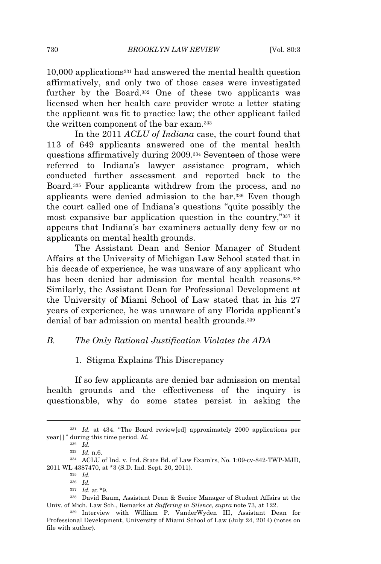10,000 applications<sup>331</sup> had answered the mental health question affirmatively, and only two of those cases were investigated further by the Board.<sup>332</sup> One of these two applicants was licensed when her health care provider wrote a letter stating the applicant was fit to practice law; the other applicant failed the written component of the bar exam.<sup>333</sup>

In the 2011 *ACLU of Indiana* case, the court found that 113 of 649 applicants answered one of the mental health questions affirmatively during 2009.<sup>334</sup> Seventeen of those were referred to Indiana's lawyer assistance program, which conducted further assessment and reported back to the Board.<sup>335</sup> Four applicants withdrew from the process, and no applicants were denied admission to the bar.<sup>336</sup> Even though the court called one of Indiana's questions "quite possibly the most expansive bar application question in the country," <sup>337</sup> it appears that Indiana's bar examiners actually deny few or no applicants on mental health grounds.

The Assistant Dean and Senior Manager of Student Affairs at the University of Michigan Law School stated that in his decade of experience, he was unaware of any applicant who has been denied bar admission for mental health reasons.<sup>338</sup> Similarly, the Assistant Dean for Professional Development at the University of Miami School of Law stated that in his 27 years of experience, he was unaware of any Florida applicant's denial of bar admission on mental health grounds.<sup>339</sup>

#### *B. The Only Rational Justification Violates the ADA*

## 1. Stigma Explains This Discrepancy

If so few applicants are denied bar admission on mental health grounds and the effectiveness of the inquiry is questionable, why do some states persist in asking the

<sup>331</sup> *Id.* at 434. "The Board review[ed] approximately 2000 applications per year[ ]" during this time period. *Id.*

<sup>332</sup> *Id.*

<sup>333</sup> *Id.* n.6.

<sup>334</sup> ACLU of Ind. v. Ind. State Bd. of Law Exam'rs, No. 1:09-cv-842-TWP-MJD, 2011 WL 4387470, at \*3 (S.D. Ind. Sept. 20, 2011).

<sup>335</sup> *Id.*

<sup>336</sup> *Id.*

<sup>337</sup> *Id.* at \*9.

<sup>338</sup> David Baum, Assistant Dean & Senior Manager of Student Affairs at the Univ. of Mich. Law Sch., Remarks at *Suffering in Silence*, *supra* note 73, at 122.

<sup>339</sup> Interview with William P. VanderWyden III, Assistant Dean for Professional Development, University of Miami School of Law (July 24, 2014) (notes on file with author).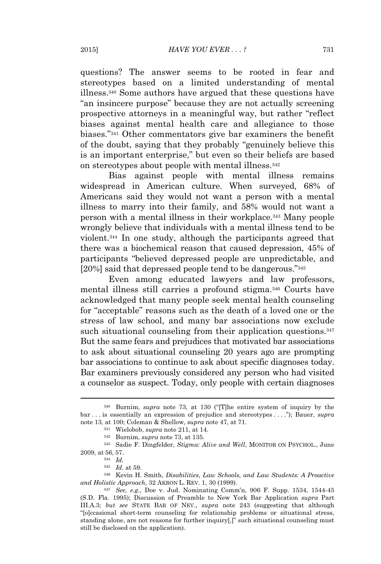questions? The answer seems to be rooted in fear and stereotypes based on a limited understanding of mental illness.<sup>340</sup> Some authors have argued that these questions have "an insincere purpose" because they are not actually screening prospective attorneys in a meaningful way, but rather "reflect biases against mental health care and allegiance to those biases." <sup>341</sup> Other commentators give bar examiners the benefit of the doubt, saying that they probably "genuinely believe this is an important enterprise," but even so their beliefs are based on stereotypes about people with mental illness.<sup>342</sup>

Bias against people with mental illness remains widespread in American culture. When surveyed, 68% of Americans said they would not want a person with a mental illness to marry into their family, and 58% would not want a person with a mental illness in their workplace.<sup>343</sup> Many people wrongly believe that individuals with a mental illness tend to be violent.<sup>344</sup> In one study, although the participants agreed that there was a biochemical reason that caused depression, 45% of participants "believed depressed people are unpredictable, and [20%] said that depressed people tend to be dangerous."345

Even among educated lawyers and law professors, mental illness still carries a profound stigma.<sup>346</sup> Courts have acknowledged that many people seek mental health counseling for "acceptable" reasons such as the death of a loved one or the stress of law school, and many bar associations now exclude such situational counseling from their application questions.<sup>347</sup> But the same fears and prejudices that motivated bar associations to ask about situational counseling 20 years ago are prompting bar associations to continue to ask about specific diagnoses today. Bar examiners previously considered any person who had visited a counselor as suspect. Today, only people with certain diagnoses

<sup>343</sup> Sadie F. Dingfelder, *Stigma: Alive and Well*, MONITOR ON PSYCHOL., June 2009, at 56, 57.

<sup>340</sup> Burnim, *supra* note 73, at 130 ("[T]he entire system of inquiry by the bar . . . is essentially an expression of prejudice and stereotypes . . . ."); Bauer, *supra* note 13, at 100; Coleman & Shellow, *supra* note 47, at 71.

<sup>341</sup> Wielobob, *supra* note 211, at 14.

<sup>342</sup> Burnim, *supra* note 73, at 135.

<sup>344</sup> *Id.*

<sup>345</sup> *Id.* at 59.

<sup>346</sup> Kevin H. Smith, *Disabilities, Law Schools, and Law Students: A Proactive and Holistic Approach*, 32 AKRON L. REV. 1, 30 (1999).

<sup>347</sup> *See, e.g.*, Doe v. Jud. Nominating Comm'n, 906 F. Supp. 1534, 1544-45 (S.D. Fla. 1995); Discussion of Preamble to New York Bar Application *supra* Part III.A.3; *but see* STATE BAR OF NEV., *supra* note 243 (suggesting that although "[o]ccasional short-term counseling for relationship problems or situational stress, standing alone, are not reasons for further inquiry[,]" such situational counseling must still be disclosed on the application).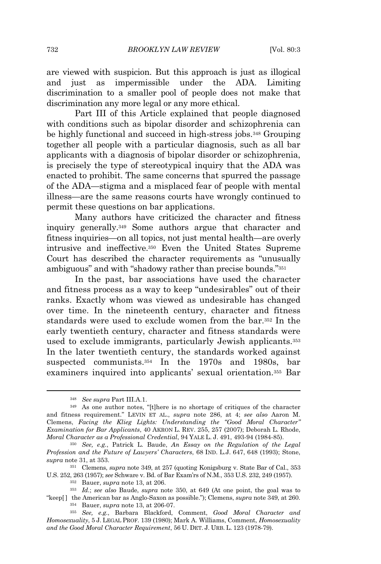are viewed with suspicion. But this approach is just as illogical and just as impermissible under the ADA. Limiting discrimination to a smaller pool of people does not make that discrimination any more legal or any more ethical.

Part III of this Article explained that people diagnosed with conditions such as bipolar disorder and schizophrenia can be highly functional and succeed in high-stress jobs.<sup>348</sup> Grouping together all people with a particular diagnosis, such as all bar applicants with a diagnosis of bipolar disorder or schizophrenia, is precisely the type of stereotypical inquiry that the ADA was enacted to prohibit. The same concerns that spurred the passage of the ADA—stigma and a misplaced fear of people with mental illness—are the same reasons courts have wrongly continued to permit these questions on bar applications.

Many authors have criticized the character and fitness inquiry generally.<sup>349</sup> Some authors argue that character and fitness inquiries—on all topics, not just mental health—are overly intrusive and ineffective.<sup>350</sup> Even the United States Supreme Court has described the character requirements as "unusually ambiguous" and with "shadowy rather than precise bounds."<sup>351</sup>

In the past, bar associations have used the character and fitness process as a way to keep "undesirables" out of their ranks. Exactly whom was viewed as undesirable has changed over time. In the nineteenth century, character and fitness standards were used to exclude women from the bar.<sup>352</sup> In the early twentieth century, character and fitness standards were used to exclude immigrants, particularly Jewish applicants.<sup>353</sup> In the later twentieth century, the standards worked against suspected communists.<sup>354</sup> In the 1970s and 1980s, bar examiners inquired into applicants' sexual orientation.<sup>355</sup> Bar

<sup>348</sup> *See supra* Part III.A.1.

<sup>349</sup> As one author notes, "[t]here is no shortage of critiques of the character and fitness requirement." LEVIN ET AL., *supra* note 286, at 4; *see also* Aaron M. Clemens, *Facing the Klieg Lights: Understanding the "Good Moral Character" Examination for Bar Applicants*, 40 AKRON L. REV. 255, 257 (2007); Deborah L. Rhode, *Moral Character as a Professional Credential*, 94 YALE L. J. 491, 493-94 (1984-85).

<sup>350</sup> *See, e.g.*, Patrick L. Baude, *An Essay on the Regulation of the Legal Profession and the Future of Lawyers' Characters*, 68 IND. L.J. 647, 648 (1993); Stone, *supra* note 31, at 353.

<sup>351</sup> Clemens, *supra* note 349, at 257 (quoting Konigsburg v. State Bar of Cal., 353 U.S. 252, 263 (1957); *see* Schware v. Bd. of Bar Exam'rs of N.M., 353 U.S. 232, 249 (1957).

<sup>352</sup> Bauer, *supra* note 13, at 206.

<sup>353</sup> *Id.*; *see also* Baude, *supra* note 350, at 649 (At one point, the goal was to "keep[ ] the American bar as Anglo-Saxon as possible."); Clemens, *supra* note 349, at 260.

<sup>354</sup> Bauer, *supra* note 13, at 206-07.

<sup>355</sup> *See, e.g.*, Barbara Blackford, Comment, *Good Moral Character and Homosexuality*, 5 J. LEGAL PROF. 139 (1980); Mark A. Williams, Comment, *Homosexuality and the Good Moral Character Requirement*, 56 U. DET. J. URB. L. 123 (1978-79).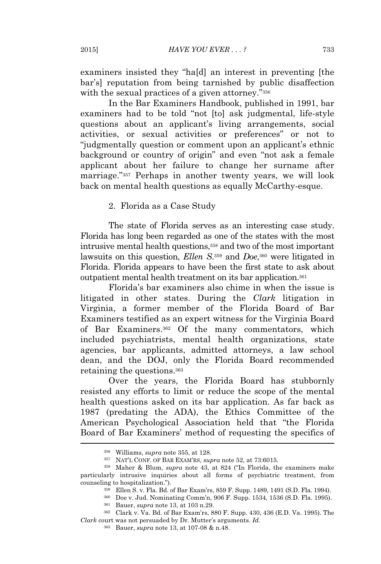examiners insisted they "ha[d] an interest in preventing [the bar's] reputation from being tarnished by public disaffection with the sexual practices of a given attorney."356

In the Bar Examiners Handbook, published in 1991, bar examiners had to be told "not [to] ask judgmental, life-style questions about an applicant's living arrangements, social activities, or sexual activities or preferences" or not to "judgmentally question or comment upon an applicant's ethnic background or country of origin" and even "not ask a female applicant about her failure to change her surname after marriage." <sup>357</sup> Perhaps in another twenty years, we will look back on mental health questions as equally McCarthy-esque.

2. Florida as a Case Study

The state of Florida serves as an interesting case study. Florida has long been regarded as one of the states with the most intrusive mental health questions,<sup>358</sup> and two of the most important lawsuits on this question, *Ellen S*. <sup>359</sup> and *Doe*, <sup>360</sup> were litigated in Florida. Florida appears to have been the first state to ask about outpatient mental health treatment on its bar application.<sup>361</sup>

Florida's bar examiners also chime in when the issue is litigated in other states. During the *Clark* litigation in Virginia, a former member of the Florida Board of Bar Examiners testified as an expert witness for the Virginia Board of Bar Examiners.<sup>362</sup> Of the many commentators, which included psychiatrists, mental health organizations, state agencies, bar applicants, admitted attorneys, a law school dean, and the DOJ, only the Florida Board recommended retaining the questions.<sup>363</sup>

Over the years, the Florida Board has stubbornly resisted any efforts to limit or reduce the scope of the mental health questions asked on its bar application. As far back as 1987 (predating the ADA), the Ethics Committee of the American Psychological Association held that "the Florida Board of Bar Examiners' method of requesting the specifics of

<sup>356</sup> Williams, *supra* note 355, at 128.

<sup>357</sup> NAT'<sup>L</sup> CONF. OF BAR EXAM'RS, *supra* note 52, at 73:6015.

<sup>358</sup> Maher & Blum, *supra* note 43, at 824 ("In Florida, the examiners make particularly intrusive inquiries about all forms of psychiatric treatment, from counseling to hospitalization.").

<sup>359</sup> Ellen S. v. Fla. Bd. of Bar Exam'rs, 859 F. Supp. 1489, 1491 (S.D. Fla. 1994).

<sup>360</sup> Doe v. Jud. Nominating Comm'n, 906 F. Supp. 1534, 1536 (S.D. Fla. 1995).

<sup>361</sup> Bauer, *supra* note 13, at 103 n.29.

<sup>362</sup> Clark v. Va. Bd. of Bar Exam'rs, 880 F. Supp. 430, 436 (E.D. Va. 1995). The *Clark* court was not persuaded by Dr. Mutter's arguments. *Id.*

<sup>363</sup> Bauer, *supra* note 13, at 107-08 & n.48.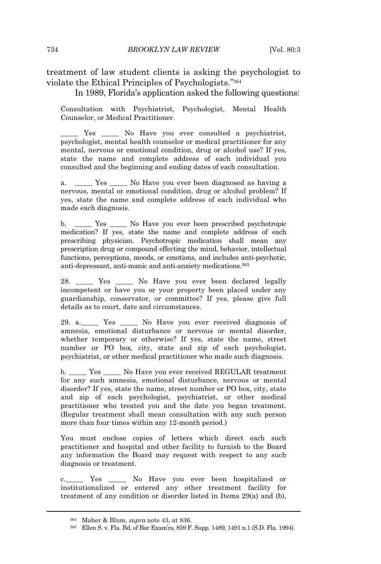treatment of law student clients is asking the psychologist to violate the Ethical Principles of Psychologists." 364

In 1989, Florida's application asked the following questions:

Consultation with Psychiatrist, Psychologist, Mental Health Counselor, or Medical Practitioner.

Yes \_\_\_\_\_ No Have you ever consulted a psychiatrist, psychologist, mental health counselor or medical practitioner for any mental, nervous or emotional condition, drug or alcohol use? If yes, state the name and complete address of each individual you consulted and the beginning and ending dates of each consultation.

a. \_\_\_\_\_ Yes \_\_\_\_\_ No Have you ever been diagnosed as having a nervous, mental or emotional condition, drug or alcohol problem? If yes, state the name and complete address of each individual who made each diagnosis.

b. \_\_\_\_\_ Yes \_\_\_\_\_ No Have you ever been prescribed psychotropic medication? If yes, state the name and complete address of each prescribing physician. Psychotropic medication shall mean any prescription drug or compound effecting the mind, behavior, intellectual functions, perceptions, moods, or emotions, and includes anti-psychotic, anti-depressant, anti-manic and anti-anxiety medications.<sup>365</sup>

28. \_\_\_\_\_ Yes \_\_\_\_\_ No Have you ever been declared legally incompetent or have you or your property been placed under any guardianship, conservator, or committee? If yes, please give full details as to court, date and circumstances.

29. a.\_\_\_\_\_ Yes \_\_\_\_\_ No Have you ever received diagnosis of amnesia, emotional disturbance or nervous or mental disorder, whether temporary or otherwise? If yes, state the name, street number or PO box, city, state and zip of each psychologist, psychiatrist, or other medical practitioner who made such diagnosis.

b. \_\_\_\_\_ Yes \_\_\_\_\_ No Have you ever received REGULAR treatment for any such amnesia, emotional disturbance, nervous or mental disorder? If yes, state the name, street number or PO box, city, state and zip of each psychologist, psychiatrist, or other medical practitioner who treated you and the date you began treatment. (Regular treatment shall mean consultation with any such person more than four times within any 12-month period.)

You must enclose copies of letters which direct each such practitioner and hospital and other facility to furnish to the Board any information the Board may request with respect to any such diagnosis or treatment.

c.\_\_\_\_\_ Yes \_\_\_\_\_ No Have you ever been hospitalized or institutionalized or entered any other treatment facility for treatment of any condition or disorder listed in Items 29(a) and (b),

<sup>364</sup> Maher & Blum, *supra* note 43, at 836.

<sup>365</sup> Ellen S. v. Fla. Bd. of Bar Exam'rs, 859 F. Supp. 1489, 1491 n.1 (S.D. Fla. 1994).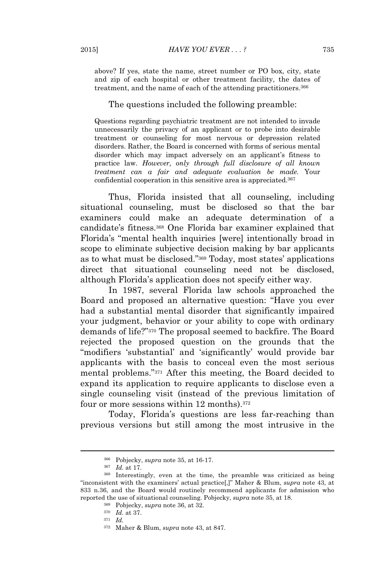above? If yes, state the name, street number or PO box, city, state and zip of each hospital or other treatment facility, the dates of treatment, and the name of each of the attending practitioners.<sup>366</sup>

#### The questions included the following preamble:

Questions regarding psychiatric treatment are not intended to invade unnecessarily the privacy of an applicant or to probe into desirable treatment or counseling for most nervous or depression related disorders. Rather, the Board is concerned with forms of serious mental disorder which may impact adversely on an applicant's fitness to practice law. *However, only through full disclosure of all known treatment can a fair and adequate evaluation be made.* Your confidential cooperation in this sensitive area is appreciated.<sup>367</sup>

Thus, Florida insisted that all counseling, including situational counseling, must be disclosed so that the bar examiners could make an adequate determination of a candidate's fitness.<sup>368</sup> One Florida bar examiner explained that Florida's "mental health inquiries [were] intentionally broad in scope to eliminate subjective decision making by bar applicants as to what must be disclosed." <sup>369</sup> Today, most states' applications direct that situational counseling need not be disclosed, although Florida's application does not specify either way.

In 1987, several Florida law schools approached the Board and proposed an alternative question: "Have you ever had a substantial mental disorder that significantly impaired your judgment, behavior or your ability to cope with ordinary demands of life?" <sup>370</sup> The proposal seemed to backfire. The Board rejected the proposed question on the grounds that the "modifiers 'substantial' and 'significantly' would provide bar applicants with the basis to conceal even the most serious mental problems." <sup>371</sup> After this meeting, the Board decided to expand its application to require applicants to disclose even a single counseling visit (instead of the previous limitation of four or more sessions within 12 months).<sup>372</sup>

Today, Florida's questions are less far-reaching than previous versions but still among the most intrusive in the

<sup>370</sup> *Id.* at 37.

<sup>366</sup> Pobjecky, *supra* note 35, at 16-17.

<sup>367</sup> *Id.* at 17.

<sup>368</sup> Interestingly, even at the time, the preamble was criticized as being "inconsistent with the examiners' actual practice[,]" Maher & Blum, *supra* note 43, at 833 n.36, and the Board would routinely recommend applicants for admission who reported the use of situational counseling. Pobjecky, *supra* note 35, at 18.

<sup>369</sup> Pobjecky, *supra* note 36, at 32.

<sup>371</sup> *Id.*

<sup>372</sup> Maher & Blum, *supra* note 43, at 847.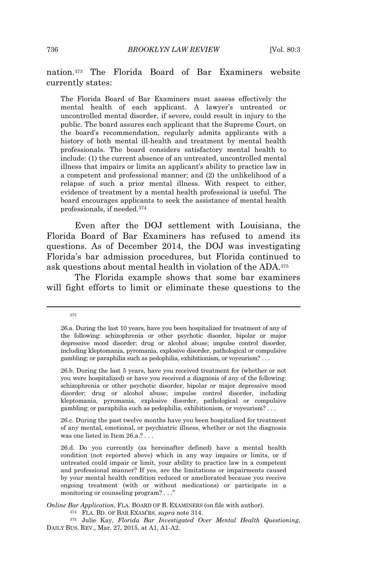## nation.<sup>373</sup> The Florida Board of Bar Examiners website currently states:

The Florida Board of Bar Examiners must assess effectively the mental health of each applicant. A lawyer's untreated or uncontrolled mental disorder, if severe, could result in injury to the public. The board assures each applicant that the Supreme Court, on the board's recommendation, regularly admits applicants with a history of both mental ill-health and treatment by mental health professionals. The board considers satisfactory mental health to include: (1) the current absence of an untreated, uncontrolled mental illness that impairs or limits an applicant's ability to practice law in a competent and professional manner; and (2) the unlikelihood of a relapse of such a prior mental illness. With respect to either, evidence of treatment by a mental health professional is useful. The board encourages applicants to seek the assistance of mental health professionals, if needed.<sup>374</sup>

Even after the DOJ settlement with Louisiana, the Florida Board of Bar Examiners has refused to amend its questions. As of December 2014, the DOJ was investigating Florida's bar admission procedures, but Florida continued to ask questions about mental health in violation of the ADA.<sup>375</sup>

The Florida example shows that some bar examiners will fight efforts to limit or eliminate these questions to the

373

<sup>26.</sup>a. During the last 10 years, have you been hospitalized for treatment of any of the following: schizophrenia or other psychotic disorder, bipolar or major depressive mood disorder; drug or alcohol abuse; impulse control disorder, including kleptomania, pyromania, explosive disorder, pathological or compulsive gambling; or paraphilia such as pedophilia, exhibitionism, or voyeurism? . . .

<sup>26.</sup>b. During the last 5 years, have you received treatment for (whether or not you were hospitalized) or have you received a diagnosis of any of the following: schizophrenia or other psychotic disorder, bipolar or major depressive mood disorder; drug or alcohol abuse; impulse control disorder, including kleptomania, pyromania, explosive disorder, pathological or compulsive gambling; or paraphilia such as pedophilia, exhibitionism, or voyeurism? . . .

<sup>26.</sup>c. During the past twelve months have you been hospitalized for treatment of any mental, emotional, or psychiatric illness, whether or not the diagnosis was one listed in Item 26.a.? . . .

<sup>26.</sup>d. Do you currently (as hereinafter defined) have a mental health condition (not reported above) which in any way impairs or limits, or if untreated could impair or limit, your ability to practice law in a competent and professional manner? If yes, are the limitations or impairments caused by your mental health condition reduced or ameliorated because you receive ongoing treatment (with or without medications) or participate in a monitoring or counseling program? . . ."

*Online Bar Application*, FLA. BOARD OF B. EXAMINERS (on file with author).

<sup>374</sup> FLA. BD. OF BAR EXAM'RS, *supra* note 314.

<sup>375</sup> Julie Kay, *Florida Bar Investigated Over Mental Health Questioning*, DAILY BUS. REV., Mar. 27, 2015, at A1, A1-A2.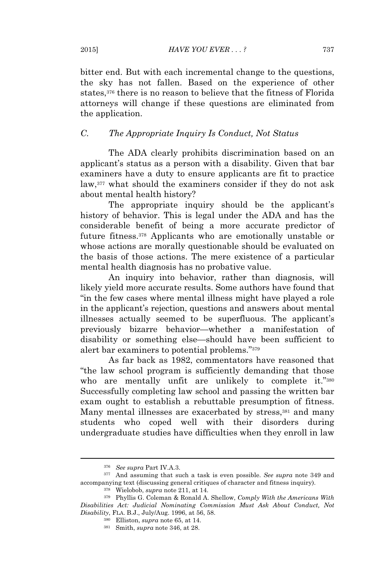bitter end. But with each incremental change to the questions, the sky has not fallen. Based on the experience of other states,<sup>376</sup> there is no reason to believe that the fitness of Florida attorneys will change if these questions are eliminated from the application.

## *C. The Appropriate Inquiry Is Conduct, Not Status*

The ADA clearly prohibits discrimination based on an applicant's status as a person with a disability. Given that bar examiners have a duty to ensure applicants are fit to practice law,<sup>377</sup> what should the examiners consider if they do not ask about mental health history?

The appropriate inquiry should be the applicant's history of behavior. This is legal under the ADA and has the considerable benefit of being a more accurate predictor of future fitness.<sup>378</sup> Applicants who are emotionally unstable or whose actions are morally questionable should be evaluated on the basis of those actions. The mere existence of a particular mental health diagnosis has no probative value.

An inquiry into behavior, rather than diagnosis, will likely yield more accurate results. Some authors have found that "in the few cases where mental illness might have played a role in the applicant's rejection, questions and answers about mental illnesses actually seemed to be superfluous. The applicant's previously bizarre behavior—whether a manifestation of disability or something else—should have been sufficient to alert bar examiners to potential problems." 379

As far back as 1982, commentators have reasoned that "the law school program is sufficiently demanding that those who are mentally unfit are unlikely to complete it."380 Successfully completing law school and passing the written bar exam ought to establish a rebuttable presumption of fitness. Many mental illnesses are exacerbated by stress,<sup>381</sup> and many students who coped well with their disorders during undergraduate studies have difficulties when they enroll in law

<sup>376</sup> *See supra* Part IV.A.3.

<sup>377</sup> And assuming that such a task is even possible. *See supra* note 349 and accompanying text (discussing general critiques of character and fitness inquiry).

<sup>378</sup> Wielobob, *supra* note 211, at 14.

<sup>379</sup> Phyllis G. Coleman & Ronald A. Shellow, *Comply With the Americans With Disabilities Act: Judicial Nominating Commission Must Ask About Conduct, Not Disability*, FLA. B.J., July/Aug. 1996, at 56, 58.

<sup>380</sup> Elliston, *supra* note 65, at 14.

<sup>381</sup> Smith, *supra* note 346, at 28.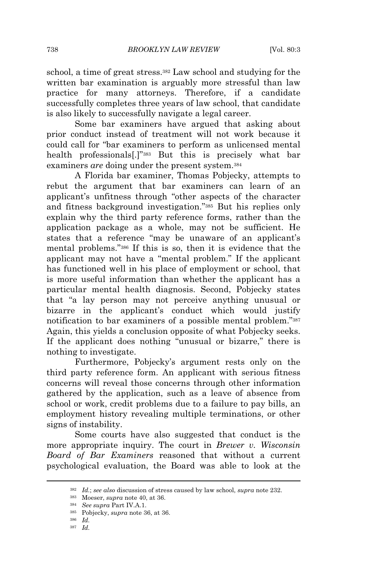738 *BROOKLYN LAW REVIEW* [Vol. 80:3

school, a time of great stress.<sup>382</sup> Law school and studying for the written bar examination is arguably more stressful than law practice for many attorneys. Therefore, if a candidate successfully completes three years of law school, that candidate is also likely to successfully navigate a legal career.

Some bar examiners have argued that asking about prior conduct instead of treatment will not work because it could call for "bar examiners to perform as unlicensed mental health professionals[.]" <sup>383</sup> But this is precisely what bar examiners *are* doing under the present system.<sup>384</sup>

A Florida bar examiner, Thomas Pobjecky, attempts to rebut the argument that bar examiners can learn of an applicant's unfitness through "other aspects of the character and fitness background investigation." <sup>385</sup> But his replies only explain why the third party reference forms, rather than the application package as a whole, may not be sufficient. He states that a reference "may be unaware of an applicant's mental problems." <sup>386</sup> If this is so, then it is evidence that the applicant may not have a "mental problem." If the applicant has functioned well in his place of employment or school, that is more useful information than whether the applicant has a particular mental health diagnosis. Second, Pobjecky states that "a lay person may not perceive anything unusual or bizarre in the applicant's conduct which would justify notification to bar examiners of a possible mental problem."387 Again, this yields a conclusion opposite of what Pobjecky seeks. If the applicant does nothing "unusual or bizarre," there is nothing to investigate.

Furthermore, Pobjecky's argument rests only on the third party reference form. An applicant with serious fitness concerns will reveal those concerns through other information gathered by the application, such as a leave of absence from school or work, credit problems due to a failure to pay bills, an employment history revealing multiple terminations, or other signs of instability.

Some courts have also suggested that conduct is the more appropriate inquiry. The court in *Brewer v. Wisconsin Board of Bar Examiners* reasoned that without a current psychological evaluation, the Board was able to look at the

<sup>382</sup> *Id.*; *see also* discussion of stress caused by law school, *supra* note 232.

<sup>383</sup> Moeser, *supra* note 40, at 36.

<sup>384</sup> *See supra* Part IV.A.1.

<sup>385</sup> Pobjecky, *supra* note 36, at 36.

<sup>386</sup> *Id.*

<sup>387</sup> *Id.*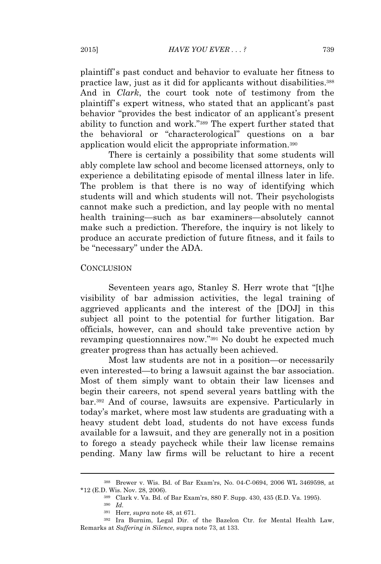plaintiff's past conduct and behavior to evaluate her fitness to practice law, just as it did for applicants without disabilities.<sup>388</sup> And in *Clark*, the court took note of testimony from the plaintiff's expert witness, who stated that an applicant's past behavior "provides the best indicator of an applicant's present ability to function and work." <sup>389</sup> The expert further stated that the behavioral or "characterological" questions on a bar application would elicit the appropriate information.<sup>390</sup>

There is certainly a possibility that some students will ably complete law school and become licensed attorneys, only to experience a debilitating episode of mental illness later in life. The problem is that there is no way of identifying which students will and which students will not. Their psychologists cannot make such a prediction, and lay people with no mental health training—such as bar examiners—absolutely cannot make such a prediction. Therefore, the inquiry is not likely to produce an accurate prediction of future fitness, and it fails to be "necessary" under the ADA.

#### **CONCLUSION**

Seventeen years ago, Stanley S. Herr wrote that "[t]he visibility of bar admission activities, the legal training of aggrieved applicants and the interest of the [DOJ] in this subject all point to the potential for further litigation. Bar officials, however, can and should take preventive action by revamping questionnaires now." <sup>391</sup> No doubt he expected much greater progress than has actually been achieved.

Most law students are not in a position—or necessarily even interested—to bring a lawsuit against the bar association. Most of them simply want to obtain their law licenses and begin their careers, not spend several years battling with the bar.<sup>392</sup> And of course, lawsuits are expensive. Particularly in today's market, where most law students are graduating with a heavy student debt load, students do not have excess funds available for a lawsuit, and they are generally not in a position to forego a steady paycheck while their law license remains pending. Many law firms will be reluctant to hire a recent

<sup>388</sup> Brewer v. Wis. Bd. of Bar Exam'rs, No. 04-C-0694, 2006 WL 3469598, at \*12 (E.D. Wis. Nov. 28, 2006).

<sup>389</sup> Clark v. Va. Bd. of Bar Exam'rs, 880 F. Supp. 430, 435 (E.D. Va. 1995).

<sup>390</sup> *Id.*

<sup>391</sup> Herr, *supra* note 48, at 671.

<sup>392</sup> Ira Burnim, Legal Dir. of the Bazelon Ctr. for Mental Health Law, Remarks at *Suffering in Silence*, supra note 73, at 133.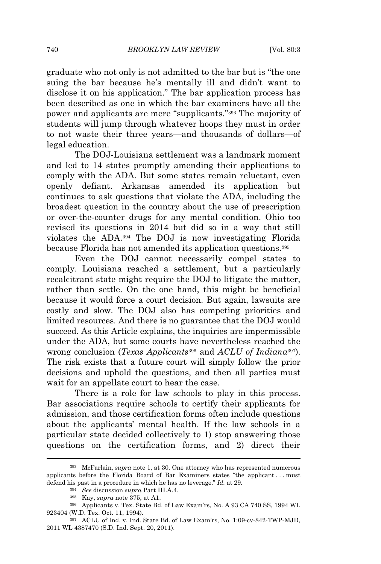graduate who not only is not admitted to the bar but is "the one suing the bar because he's mentally ill and didn't want to disclose it on his application." The bar application process has been described as one in which the bar examiners have all the power and applicants are mere "supplicants." <sup>393</sup> The majority of students will jump through whatever hoops they must in order to not waste their three years—and thousands of dollars—of legal education.

The DOJ-Louisiana settlement was a landmark moment and led to 14 states promptly amending their applications to comply with the ADA. But some states remain reluctant, even openly defiant. Arkansas amended its application but continues to ask questions that violate the ADA, including the broadest question in the country about the use of prescription or over-the-counter drugs for any mental condition. Ohio too revised its questions in 2014 but did so in a way that still violates the ADA.<sup>394</sup> The DOJ is now investigating Florida because Florida has not amended its application questions.<sup>395</sup>

Even the DOJ cannot necessarily compel states to comply. Louisiana reached a settlement, but a particularly recalcitrant state might require the DOJ to litigate the matter, rather than settle. On the one hand, this might be beneficial because it would force a court decision. But again, lawsuits are costly and slow. The DOJ also has competing priorities and limited resources. And there is no guarantee that the DOJ would succeed. As this Article explains, the inquiries are impermissible under the ADA, but some courts have nevertheless reached the wrong conclusion (*Texas Applicants*<sup>396</sup> and *ACLU of Indiana*397). The risk exists that a future court will simply follow the prior decisions and uphold the questions, and then all parties must wait for an appellate court to hear the case.

There is a role for law schools to play in this process. Bar associations require schools to certify their applicants for admission, and those certification forms often include questions about the applicants' mental health. If the law schools in a particular state decided collectively to 1) stop answering those questions on the certification forms, and 2) direct their

<sup>393</sup> McFarlain, *supra* note 1, at 30. One attorney who has represented numerous applicants before the Florida Board of Bar Examiners states "the applicant . . . must defend his past in a procedure in which he has no leverage." *Id.* at 29.

<sup>394</sup> *See* discussion *supra* Part III.A.4.

<sup>395</sup> Kay, *supra* note 375, at A1.

<sup>396</sup> Applicants v. Tex. State Bd. of Law Exam'rs, No. A 93 CA 740 SS, 1994 WL 923404 (W.D. Tex. Oct. 11, 1994).

<sup>397</sup> ACLU of Ind. v. Ind. State Bd. of Law Exam'rs, No. 1:09-cv-842-TWP-MJD, 2011 WL 4387470 (S.D. Ind. Sept. 20, 2011).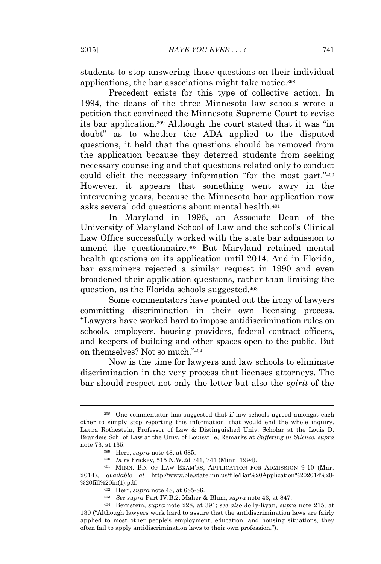students to stop answering those questions on their individual applications, the bar associations might take notice.<sup>398</sup>

Precedent exists for this type of collective action. In 1994, the deans of the three Minnesota law schools wrote a petition that convinced the Minnesota Supreme Court to revise its bar application.<sup>399</sup> Although the court stated that it was "in doubt" as to whether the ADA applied to the disputed questions, it held that the questions should be removed from the application because they deterred students from seeking necessary counseling and that questions related only to conduct could elicit the necessary information "for the most part." 400 However, it appears that something went awry in the intervening years, because the Minnesota bar application now asks several odd questions about mental health.<sup>401</sup>

In Maryland in 1996, an Associate Dean of the University of Maryland School of Law and the school's Clinical Law Office successfully worked with the state bar admission to amend the questionnaire.<sup>402</sup> But Maryland retained mental health questions on its application until 2014. And in Florida, bar examiners rejected a similar request in 1990 and even broadened their application questions, rather than limiting the question, as the Florida schools suggested.<sup>403</sup>

Some commentators have pointed out the irony of lawyers committing discrimination in their own licensing process. "Lawyers have worked hard to impose antidiscrimination rules on schools, employers, housing providers, federal contract officers, and keepers of building and other spaces open to the public. But on themselves? Not so much." 404

Now is the time for lawyers and law schools to eliminate discrimination in the very process that licenses attorneys. The bar should respect not only the letter but also the *spirit* of the

<sup>398</sup> One commentator has suggested that if law schools agreed amongst each other to simply stop reporting this information, that would end the whole inquiry. Laura Rothestein, Professor of Law & Distinguished Univ. Scholar at the Louis D. Brandeis Sch. of Law at the Univ. of Louisville, Remarks at *Suffering in Silence*, *supra* note 73, at 135.

<sup>399</sup> Herr, *supra* note 48, at 685.

<sup>400</sup> *In re* Frickey, 515 N.W.2d 741, 741 (Minn. 1994).

<sup>401</sup> MINN. BD. OF LAW EXAM'RS, APPLICATION FOR ADMISSION 9-10 (Mar. 2014), *available at* http://www.ble.state.mn.us/file/Bar%20Application%202014%20- %20fill%20in(1).pdf.

<sup>402</sup> Herr, *supra* note 48, at 685-86.

<sup>403</sup> *See supra* Part IV.B.2; Maher & Blum, *supra* note 43, at 847.

<sup>404</sup> Bernstein, *supra* note 228, at 391; *see also* Jolly-Ryan, *supra* note 215, at 130 ("Although lawyers work hard to assure that the antidiscrimination laws are fairly applied to most other people's employment, education, and housing situations, they often fail to apply antidiscrimination laws to their own profession.").